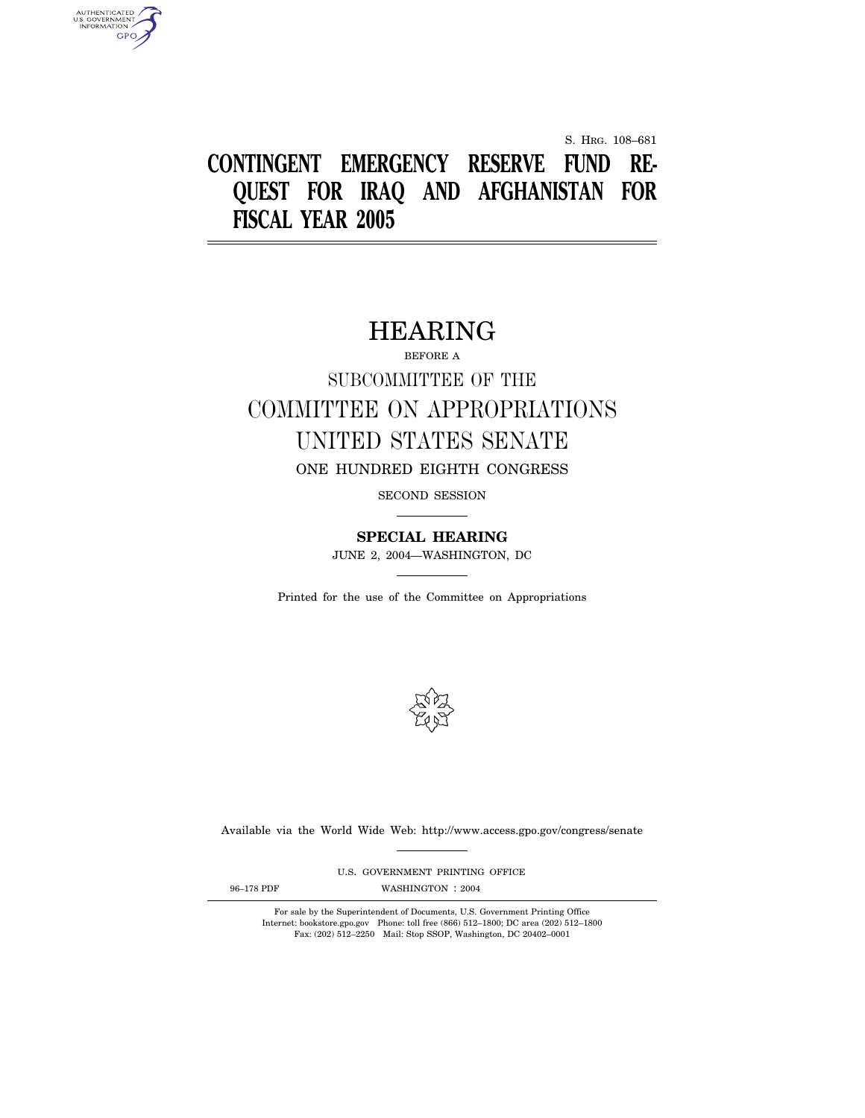S. HRG. 108–681

# **CONTINGENT EMERGENCY RESERVE FUND RE-QUEST FOR IRAQ AND AFGHANISTAN FOR FISCAL YEAR 2005**

## HEARING

BEFORE A

# SUBCOMMITTEE OF THE COMMITTEE ON APPROPRIATIONS UNITED STATES SENATE ONE HUNDRED EIGHTH CONGRESS

SECOND SESSION

**SPECIAL HEARING** 

JUNE 2, 2004—WASHINGTON, DC

Printed for the use of the Committee on Appropriations



Available via the World Wide Web: http://www.access.gpo.gov/congress/senate

U.S. GOVERNMENT PRINTING OFFICE

AUTHENTICATED<br>U.S. GOVERNMENT<br>INFORMATION **GPO** 

96-178 PDF WASHINGTON : 2004

For sale by the Superintendent of Documents, U.S. Government Printing Office Internet: bookstore.gpo.gov Phone: toll free (866) 512–1800; DC area (202) 512–1800 Fax: (202) 512–2250 Mail: Stop SSOP, Washington, DC 20402–0001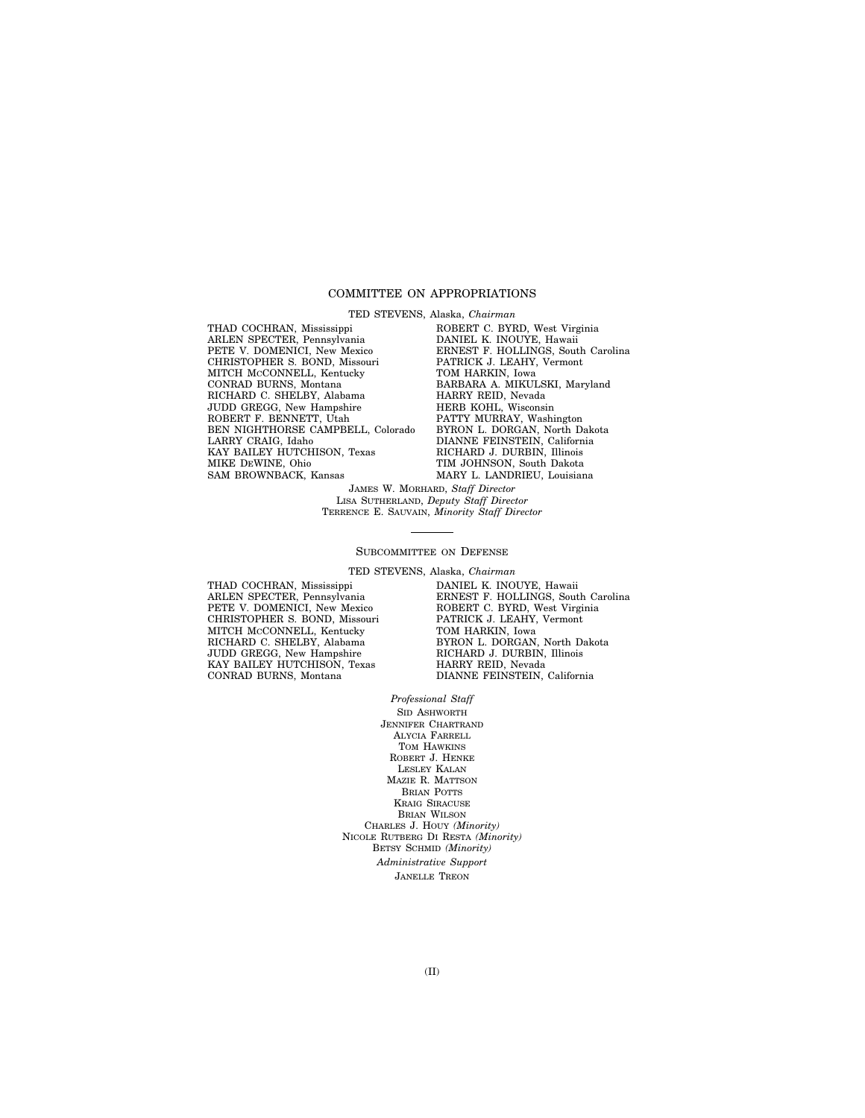#### COMMITTEE ON APPROPRIATIONS

TED STEVENS, Alaska, *Chairman* 

THAD COCHRAN, Mississippi ARLEN SPECTER, Pennsylvania PETE V. DOMENICI, New Mexico CHRISTOPHER S. BOND, Missouri MITCH McCONNELL, Kentucky CONRAD BURNS, Montana RICHARD C. SHELBY, Alabama JUDD GREGG, New Hampshire ROBERT F. BENNETT, Utah BEN NIGHTHORSE CAMPBELL, Colorado LARRY CRAIG, Idaho KAY BAILEY HUTCHISON, Texas MIKE DEWINE, Ohio SAM BROWNBACK, Kansas

ROBERT C. BYRD, West Virginia DANIEL K. INOUYE, Hawaii ERNEST F. HOLLINGS, South Carolina PATRICK J. LEAHY, Vermont TOM HARKIN, Iowa BARBARA A. MIKULSKI, Maryland HARRY REID, Nevada HERB KOHL, Wisconsin PATTY MURRAY, Washington BYRON L. DORGAN, North Dakota DIANNE FEINSTEIN, California RICHARD J. DURBIN, Illinois TIM JOHNSON, South Dakota MARY L. LANDRIEU, Louisiana

JAMES W. MORHARD, *Staff Director*  LISA SUTHERLAND, *Deputy Staff Director*  TERRENCE E. SAUVAIN, *Minority Staff Director* 

#### SUBCOMMITTEE ON DEFENSE

TED STEVENS, Alaska, *Chairman* 

THAD COCHRAN, Mississippi ARLEN SPECTER, Pennsylvania PETE V. DOMENICI, New Mexico CHRISTOPHER S. BOND, Missouri MITCH MCCONNELL, Kentucky RICHARD C. SHELBY, Alabama JUDD GREGG, New Hampshire KAY BAILEY HUTCHISON, Texas CONRAD BURNS, Montana

DANIEL K. INOUYE, Hawaii ERNEST F. HOLLINGS, South Carolina ROBERT C. BYRD, West Virginia PATRICK J. LEAHY, Vermont TOM HARKIN, Iowa BYRON L. DORGAN, North Dakota RICHARD J. DURBIN, Illinois HARRY REID, Nevada DIANNE FEINSTEIN, California

#### *Professional Staff*

SID ASHWORTH JENNIFER CHARTRAND ALYCIA FARRELL TOM HAWKINS ROBERT J. HENKE LESLEY KALAN MAZIE R. MATTSON BRIAN POTTS KRAIG SIRACUSE BRIAN WILSON CHARLES J. HOUY *(Minority)*  NICOLE RUTBERG DI RESTA *(Minority)*  BETSY SCHMID *(Minority) Administrative Support*  JANELLE TREON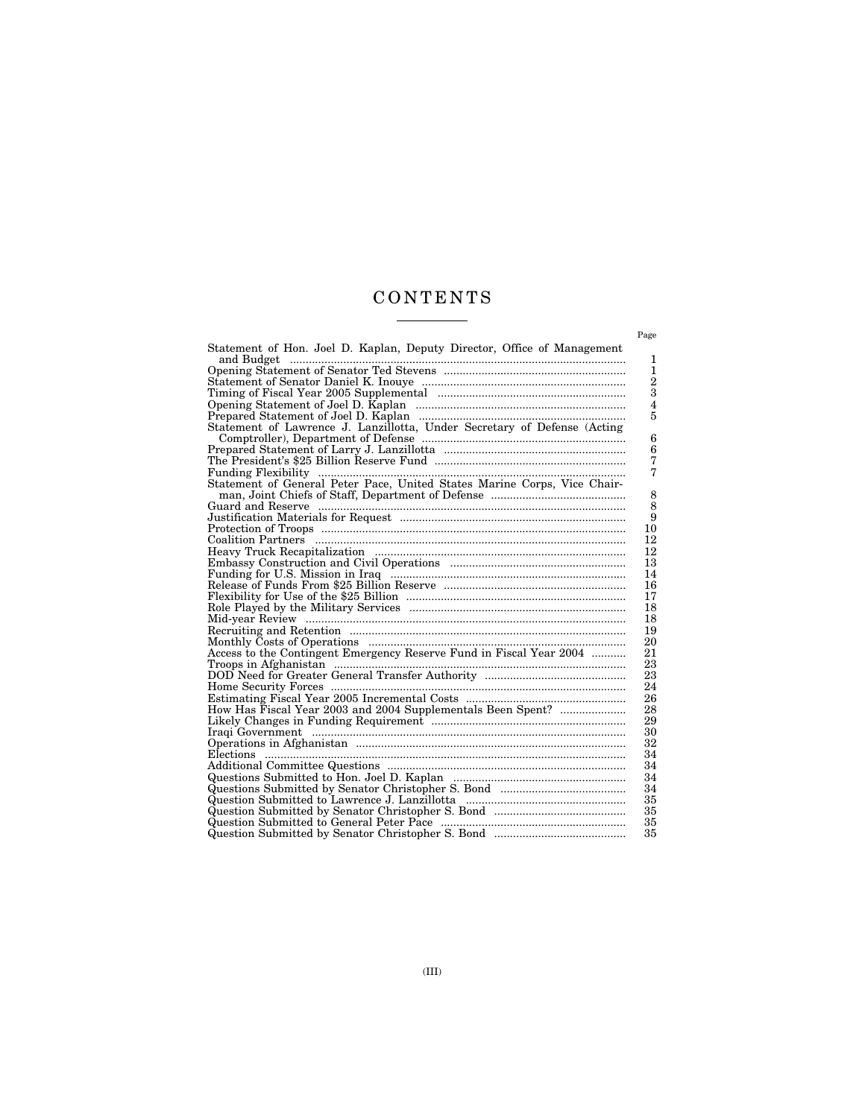## C O N T E N T S  $\begin{tabular}{l} \multicolumn{2}{c} {\textbf{1}} & \multicolumn{2}{c} {\textbf{1}} & \multicolumn{2}{c} {\textbf{1}} \\ \multicolumn{2}{c} {\textbf{2}} & \multicolumn{2}{c} {\textbf{3}} & \multicolumn{2}{c} {\textbf{4}} \\ \multicolumn{2}{c} {\textbf{4}} & \multicolumn{2}{c} {\textbf{5}} & \multicolumn{2}{c} {\textbf{6}} \\ \multicolumn{2}{c} {\textbf{5}} & \multicolumn{2}{c} {\textbf{6}} & \multicolumn{2}{c} {\textbf{6}} \\ \multicolumn{2}{c} {\textbf{5}} & \multicolumn$

|                                                                                                                 | Page                    |
|-----------------------------------------------------------------------------------------------------------------|-------------------------|
| Statement of Hon. Joel D. Kaplan, Deputy Director, Office of Management                                         |                         |
| and Budget                                                                                                      | 1                       |
|                                                                                                                 | $\mathbf{1}$            |
|                                                                                                                 | $\frac{2}{3}$           |
|                                                                                                                 |                         |
|                                                                                                                 | $\overline{\mathbf{4}}$ |
|                                                                                                                 | 5                       |
|                                                                                                                 |                         |
|                                                                                                                 | 6                       |
|                                                                                                                 | 6                       |
|                                                                                                                 | 7                       |
|                                                                                                                 | 7                       |
|                                                                                                                 |                         |
|                                                                                                                 | 8                       |
|                                                                                                                 | 8                       |
|                                                                                                                 | 9                       |
|                                                                                                                 | 10                      |
|                                                                                                                 | 12                      |
|                                                                                                                 | 12                      |
|                                                                                                                 | 13                      |
|                                                                                                                 | 14                      |
|                                                                                                                 | 16                      |
|                                                                                                                 | 17                      |
|                                                                                                                 | 18                      |
|                                                                                                                 | 18                      |
|                                                                                                                 | 19                      |
|                                                                                                                 | 20                      |
|                                                                                                                 | 21                      |
|                                                                                                                 | 23                      |
| nord Need for Greater General Transfer Authority<br>Home Security Forces                                        | 23                      |
|                                                                                                                 | 24                      |
|                                                                                                                 | 26                      |
| How Has Fiscal Year 2003 and 2004 Supplementals Been Spent?                                                     | 28                      |
| Likely Changes in Funding Requirement manufactured contains and contained in Funding Requirement manufactured i | 29                      |
|                                                                                                                 | 30                      |
|                                                                                                                 | 32                      |
|                                                                                                                 | 34                      |
|                                                                                                                 | 34                      |
|                                                                                                                 | 34                      |
|                                                                                                                 | 34                      |
|                                                                                                                 | 35                      |
|                                                                                                                 | 35                      |
|                                                                                                                 | 35                      |
|                                                                                                                 | 35                      |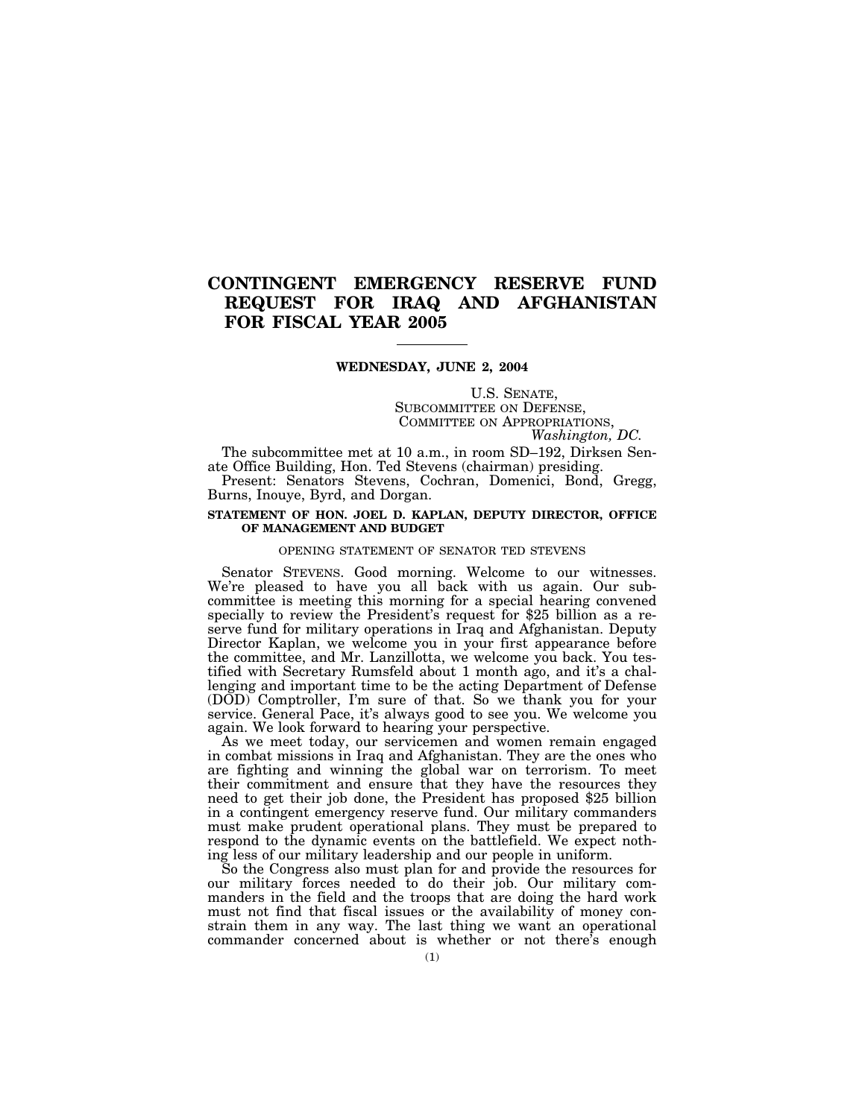## **CONTINGENT EMERGENCY RESERVE FUND REQUEST FOR IRAQ AND AFGHANISTAN FOR FISCAL YEAR 2005**

#### **WEDNESDAY, JUNE 2, 2004**

# U.S. SENATE,<br>SUBCOMMITTEE ON DEFENSE,<br>COMMITTEE ON APPROPRIATIONS,<br>*Washington, DC.*

The subcommittee met at 10 a.m., in room SD–192, Dirksen Senate Office Building, Hon. Ted Stevens (chairman) presiding.

Present: Senators Stevens, Cochran, Domenici, Bond, Gregg, Burns, Inouye, Byrd, and Dorgan.

#### **STATEMENT OF HON. JOEL D. KAPLAN, DEPUTY DIRECTOR, OFFICE OF MANAGEMENT AND BUDGET**

#### OPENING STATEMENT OF SENATOR TED STEVENS

Senator STEVENS. Good morning. Welcome to our witnesses. We're pleased to have you all back with us again. Our subcommittee is meeting this morning for a special hearing convened specially to review the President's request for \$25 billion as a reserve fund for military operations in Iraq and Afghanistan. Deputy Director Kaplan, we welcome you in your first appearance before the committee, and Mr. Lanzillotta, we welcome you back. You testified with Secretary Rumsfeld about 1 month ago, and it's a challenging and important time to be the acting Department of Defense (DOD) Comptroller, I'm sure of that. So we thank you for your service. General Pace, it's always good to see you. We welcome you again. We look forward to hearing your perspective.

As we meet today, our servicemen and women remain engaged in combat missions in Iraq and Afghanistan. They are the ones who are fighting and winning the global war on terrorism. To meet their commitment and ensure that they have the resources they need to get their job done, the President has proposed \$25 billion in a contingent emergency reserve fund. Our military commanders must make prudent operational plans. They must be prepared to respond to the dynamic events on the battlefield. We expect nothing less of our military leadership and our people in uniform.

So the Congress also must plan for and provide the resources for our military forces needed to do their job. Our military commanders in the field and the troops that are doing the hard work must not find that fiscal issues or the availability of money constrain them in any way. The last thing we want an operational commander concerned about is whether or not there's enough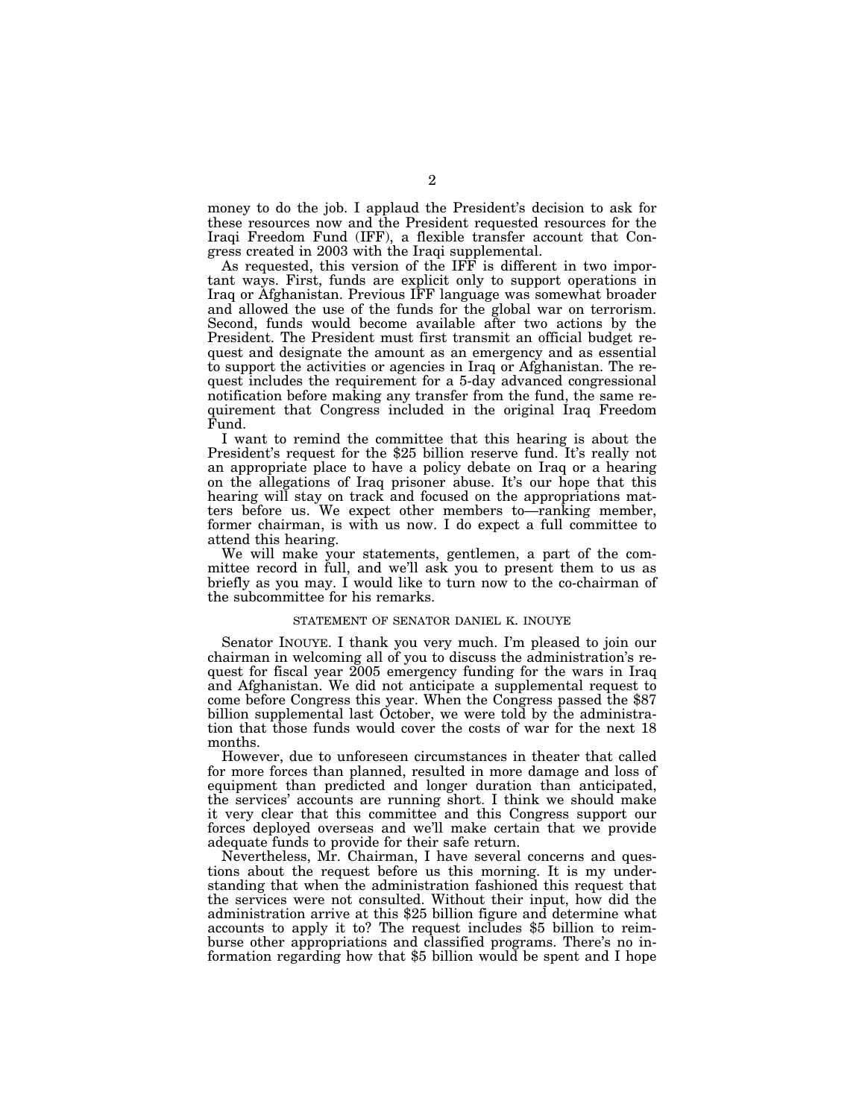money to do the job. I applaud the President's decision to ask for these resources now and the President requested resources for the Iraqi Freedom Fund (IFF), a flexible transfer account that Congress created in 2003 with the Iraqi supplemental.

As requested, this version of the IFF is different in two important ways. First, funds are explicit only to support operations in Iraq or Afghanistan. Previous IFF language was somewhat broader and allowed the use of the funds for the global war on terrorism. Second, funds would become available after two actions by the President. The President must first transmit an official budget request and designate the amount as an emergency and as essential to support the activities or agencies in Iraq or Afghanistan. The request includes the requirement for a 5-day advanced congressional notification before making any transfer from the fund, the same requirement that Congress included in the original Iraq Freedom Fund.

I want to remind the committee that this hearing is about the President's request for the \$25 billion reserve fund. It's really not an appropriate place to have a policy debate on Iraq or a hearing on the allegations of Iraq prisoner abuse. It's our hope that this hearing will stay on track and focused on the appropriations matters before us. We expect other members to—ranking member, former chairman, is with us now. I do expect a full committee to attend this hearing.

We will make your statements, gentlemen, a part of the committee record in full, and we'll ask you to present them to us as briefly as you may. I would like to turn now to the co-chairman of the subcommittee for his remarks.

#### STATEMENT OF SENATOR DANIEL K. INOUYE

Senator INOUYE. I thank you very much. I'm pleased to join our chairman in welcoming all of you to discuss the administration's request for fiscal year 2005 emergency funding for the wars in Iraq and Afghanistan. We did not anticipate a supplemental request to come before Congress this year. When the Congress passed the \$87 billion supplemental last October, we were told by the administration that those funds would cover the costs of war for the next 18 months.

However, due to unforeseen circumstances in theater that called for more forces than planned, resulted in more damage and loss of equipment than predicted and longer duration than anticipated, the services' accounts are running short. I think we should make it very clear that this committee and this Congress support our forces deployed overseas and we'll make certain that we provide adequate funds to provide for their safe return.

Nevertheless, Mr. Chairman, I have several concerns and questions about the request before us this morning. It is my understanding that when the administration fashioned this request that the services were not consulted. Without their input, how did the administration arrive at this \$25 billion figure and determine what accounts to apply it to? The request includes \$5 billion to reimburse other appropriations and classified programs. There's no information regarding how that \$5 billion would be spent and I hope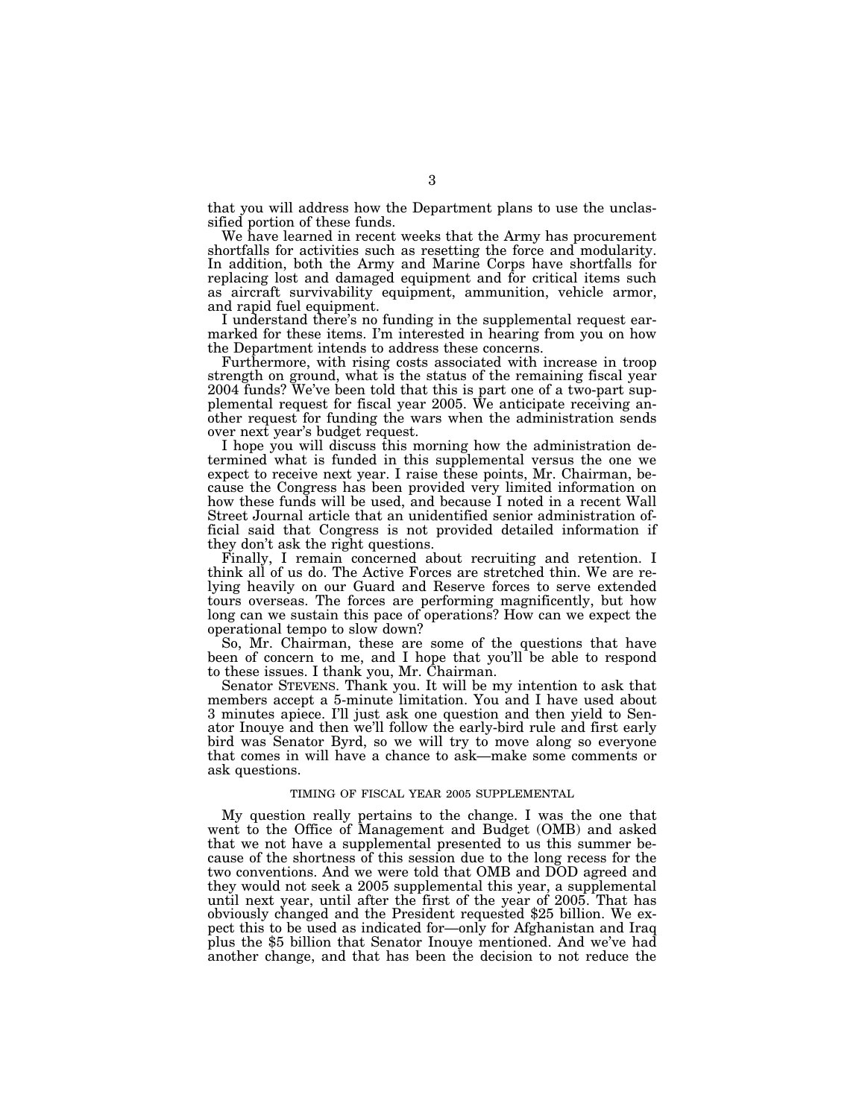that you will address how the Department plans to use the unclassified portion of these funds.

We have learned in recent weeks that the Army has procurement shortfalls for activities such as resetting the force and modularity. In addition, both the Army and Marine Corps have shortfalls for replacing lost and damaged equipment and for critical items such as aircraft survivability equipment, ammunition, vehicle armor, and rapid fuel equipment.

I understand there's no funding in the supplemental request earmarked for these items. I'm interested in hearing from you on how the Department intends to address these concerns.

Furthermore, with rising costs associated with increase in troop strength on ground, what is the status of the remaining fiscal year 2004 funds? We've been told that this is part one of a two-part supplemental request for fiscal year 2005. We anticipate receiving another request for funding the wars when the administration sends over next year's budget request.

I hope you will discuss this morning how the administration determined what is funded in this supplemental versus the one we expect to receive next year. I raise these points, Mr. Chairman, because the Congress has been provided very limited information on how these funds will be used, and because I noted in a recent Wall Street Journal article that an unidentified senior administration official said that Congress is not provided detailed information if they don't ask the right questions.

Finally, I remain concerned about recruiting and retention. I think all of us do. The Active Forces are stretched thin. We are relying heavily on our Guard and Reserve forces to serve extended tours overseas. The forces are performing magnificently, but how long can we sustain this pace of operations? How can we expect the operational tempo to slow down?

So, Mr. Chairman, these are some of the questions that have been of concern to me, and I hope that you'll be able to respond to these issues. I thank you, Mr. Chairman.

Senator STEVENS. Thank you. It will be my intention to ask that members accept a 5-minute limitation. You and I have used about 3 minutes apiece. I'll just ask one question and then yield to Senator Inouye and then we'll follow the early-bird rule and first early bird was Senator Byrd, so we will try to move along so everyone that comes in will have a chance to ask—make some comments or ask questions.

#### TIMING OF FISCAL YEAR 2005 SUPPLEMENTAL

My question really pertains to the change. I was the one that went to the Office of Management and Budget (OMB) and asked that we not have a supplemental presented to us this summer because of the shortness of this session due to the long recess for the two conventions. And we were told that OMB and DOD agreed and they would not seek a 2005 supplemental this year, a supplemental until next year, until after the first of the year of 2005. That has obviously changed and the President requested \$25 billion. We expect this to be used as indicated for—only for Afghanistan and Iraq plus the \$5 billion that Senator Inouye mentioned. And we've had another change, and that has been the decision to not reduce the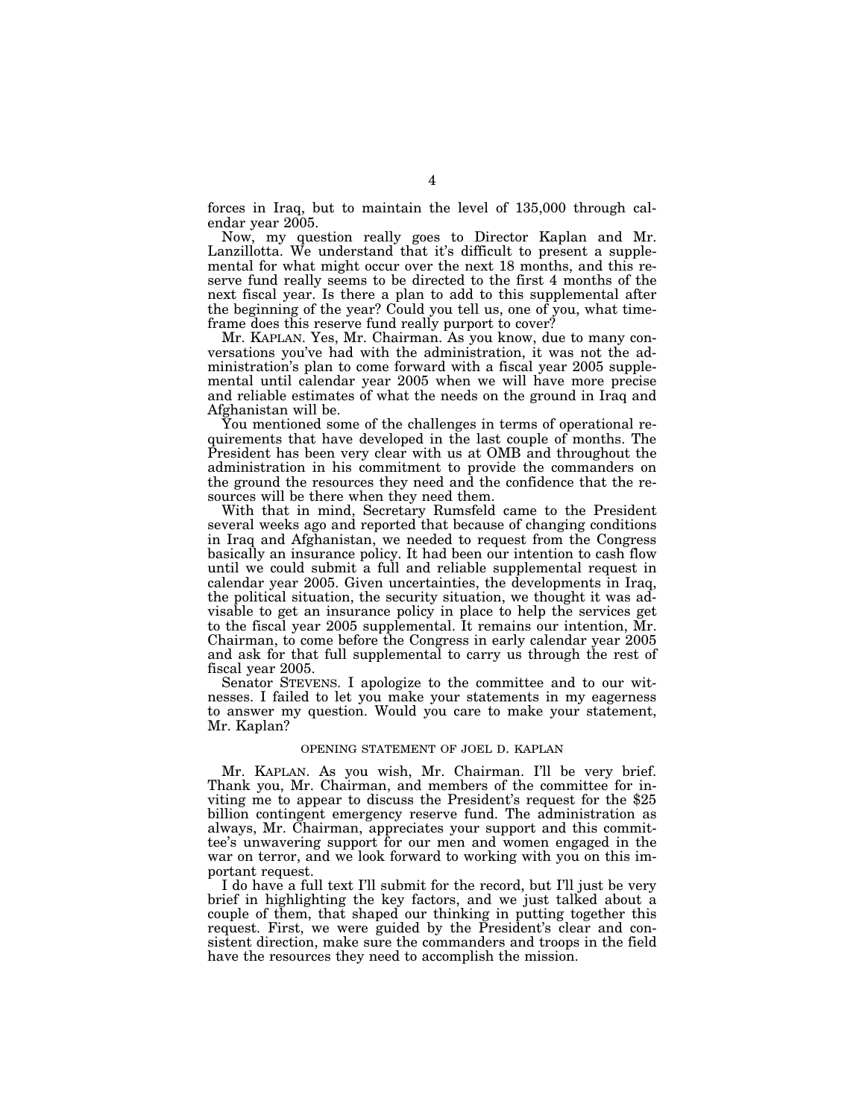forces in Iraq, but to maintain the level of 135,000 through calendar year 2005.

Now, my question really goes to Director Kaplan and Mr. Lanzillotta. We understand that it's difficult to present a supplemental for what might occur over the next 18 months, and this reserve fund really seems to be directed to the first 4 months of the next fiscal year. Is there a plan to add to this supplemental after the beginning of the year? Could you tell us, one of you, what timeframe does this reserve fund really purport to cover?

Mr. KAPLAN. Yes, Mr. Chairman. As you know, due to many conversations you've had with the administration, it was not the administration's plan to come forward with a fiscal year 2005 supplemental until calendar year 2005 when we will have more precise and reliable estimates of what the needs on the ground in Iraq and Afghanistan will be.

You mentioned some of the challenges in terms of operational requirements that have developed in the last couple of months. The President has been very clear with us at OMB and throughout the administration in his commitment to provide the commanders on the ground the resources they need and the confidence that the resources will be there when they need them.

With that in mind, Secretary Rumsfeld came to the President several weeks ago and reported that because of changing conditions in Iraq and Afghanistan, we needed to request from the Congress basically an insurance policy. It had been our intention to cash flow until we could submit a full and reliable supplemental request in calendar year 2005. Given uncertainties, the developments in Iraq, the political situation, the security situation, we thought it was advisable to get an insurance policy in place to help the services get to the fiscal year 2005 supplemental. It remains our intention, Mr. Chairman, to come before the Congress in early calendar year 2005 and ask for that full supplemental to carry us through the rest of fiscal year 2005.

Senator STEVENS. I apologize to the committee and to our witnesses. I failed to let you make your statements in my eagerness to answer my question. Would you care to make your statement, Mr. Kaplan?

#### OPENING STATEMENT OF JOEL D. KAPLAN

Mr. KAPLAN. As you wish, Mr. Chairman. I'll be very brief. Thank you, Mr. Chairman, and members of the committee for inviting me to appear to discuss the President's request for the \$25 billion contingent emergency reserve fund. The administration as always, Mr. Chairman, appreciates your support and this committee's unwavering support for our men and women engaged in the war on terror, and we look forward to working with you on this important request.

I do have a full text I'll submit for the record, but I'll just be very brief in highlighting the key factors, and we just talked about a couple of them, that shaped our thinking in putting together this request. First, we were guided by the President's clear and consistent direction, make sure the commanders and troops in the field have the resources they need to accomplish the mission.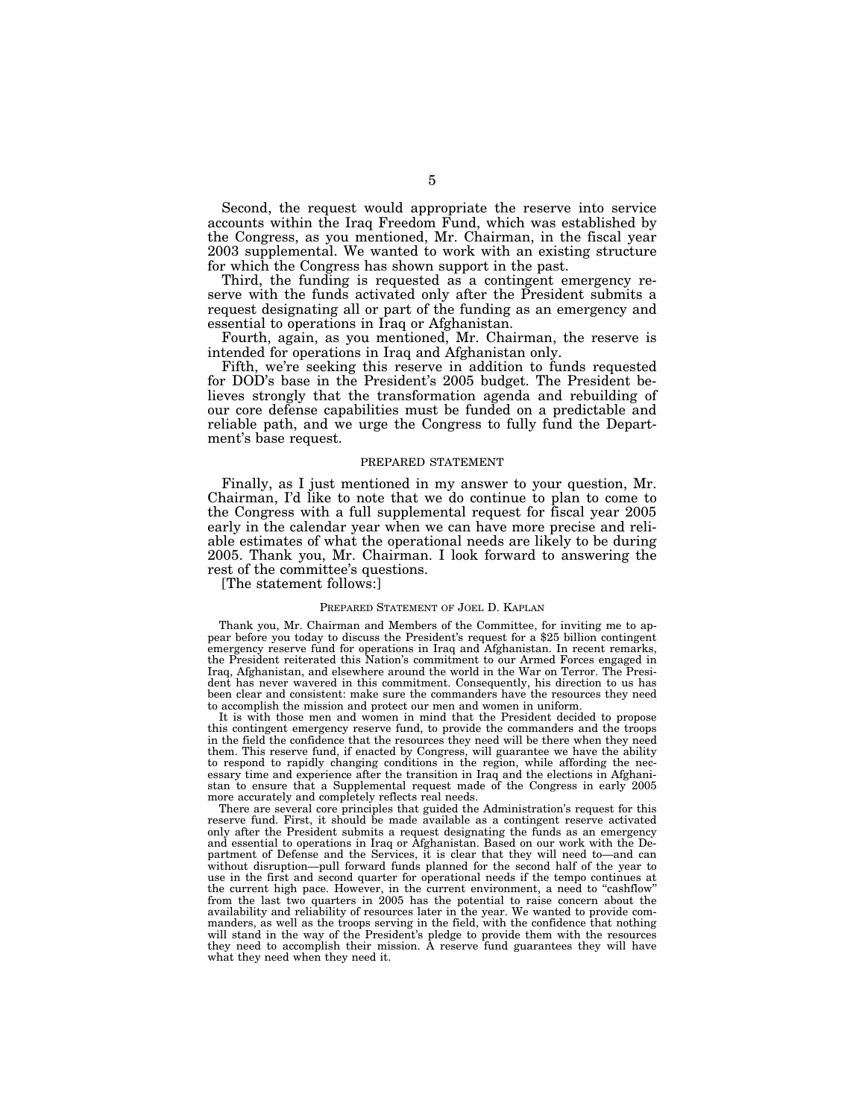Second, the request would appropriate the reserve into service accounts within the Iraq Freedom Fund, which was established by the Congress, as you mentioned, Mr. Chairman, in the fiscal year 2003 supplemental. We wanted to work with an existing structure for which the Congress has shown support in the past.

Third, the funding is requested as a contingent emergency reserve with the funds activated only after the President submits a request designating all or part of the funding as an emergency and essential to operations in Iraq or Afghanistan.

Fourth, again, as you mentioned, Mr. Chairman, the reserve is intended for operations in Iraq and Afghanistan only.

Fifth, we're seeking this reserve in addition to funds requested for DOD's base in the President's 2005 budget. The President believes strongly that the transformation agenda and rebuilding of our core defense capabilities must be funded on a predictable and reliable path, and we urge the Congress to fully fund the Department's base request.

#### PREPARED STATEMENT

Finally, as I just mentioned in my answer to your question, Mr. Chairman, I'd like to note that we do continue to plan to come to the Congress with a full supplemental request for fiscal year 2005 early in the calendar year when we can have more precise and reliable estimates of what the operational needs are likely to be during 2005. Thank you, Mr. Chairman. I look forward to answering the rest of the committee's questions.

[The statement follows:]

#### PREPARED STATEMENT OF JOEL D. KAPLAN

Thank you, Mr. Chairman and Members of the Committee, for inviting me to appear before you today to discuss the President's request for a \$25 billion contingent emergency reserve fund for operations in Iraq and Afghanistan. In recent remarks, the President reiterated this Nation's commitment to our Armed Forces engaged in Iraq, Afghanistan, and elsewhere around the world in the War on Terror. The President has never wavered in this commitment. Consequently, his direction to us has been clear and consistent: make sure the commanders have the resources they need to accomplish the mission and protect our men and women in uniform.

It is with those men and women in mind that the President decided to propose this contingent emergency reserve fund, to provide the commanders and the troops in the field the confidence that the resources they need will be there when they need them. This reserve fund, if enacted by Congress, will guarantee we have the ability to respond to rapidly changing conditions in the region, while affording the necessary time and experience after the transition in Iraq and the elections in Afghanistan to ensure that a Supplemental request made of the Congress in early 2005 more accurately and completely reflects real needs.

There are several core principles that guided the Administration's request for this reserve fund. First, it should be made available as a contingent reserve activated only after the President submits a request designating the funds as an emergency and essential to operations in Iraq or Afghanistan. Based on our work with the Department of Defense and the Services, it is clear that they will need to—and can without disruption—pull forward funds planned for the second half of the year to use in the first and second quarter for operational needs if the tempo continues at the current high pace. However, in the current environment, a need to ''cashflow'' from the last two quarters in 2005 has the potential to raise concern about the availability and reliability of resources later in the year. We wanted to provide commanders, as well as the troops serving in the field, with the confidence that nothing will stand in the way of the President's pledge to provide them with the resources they need to accomplish their mission. A reserve fund guarantees they will have what they need when they need it.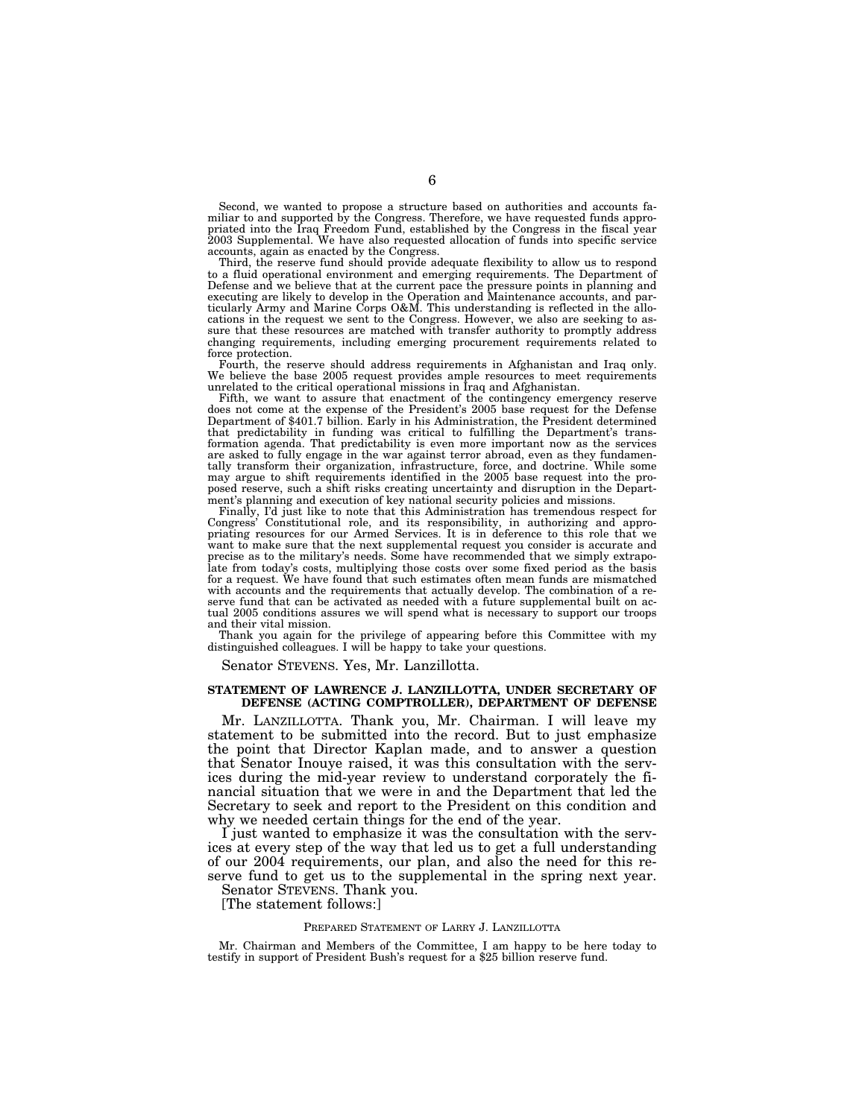Second, we wanted to propose a structure based on authorities and accounts familiar to and supported by the Congress. Therefore, we have requested funds appropriated into the Iraq Freedom Fund, established by the Congress in the fiscal year 2003 Supplemental. We have also requested allocation of funds into specific service accounts, again as enacted by the Congress.

Third, the reserve fund should provide adequate flexibility to allow us to respond to a fluid operational environment and emerging requirements. The Department of Defense and we believe that at the current pace the pressure points in planning and executing are likely to develop in the Operation and Maintenance accounts, and particularly Army and Marine Corps O&M. This understanding is reflected in the allocations in the request we sent to the Congress. However, we also are seeking to assure that these resources are matched with transfer authority to promptly address changing requirements, including emerging procurement requirements related to force protection.

Fourth, the reserve should address requirements in Afghanistan and Iraq only. We believe the base 2005 request provides ample resources to meet requirements unrelated to the critical operational missions in Iraq and Afghanistan.

Fifth, we want to assure that enactment of the contingency emergency reserve does not come at the expense of the President's 2005 base request for the Defense Department of \$401.7 billion. Early in his Administration, the President determined that predictability in funding was critical to fulfilling the Department's transformation agenda. That predictability is even more important now as the services are asked to fully engage in the war against terror abroad, even as they fundamentally transform their organization, infrastructure, force, and doctrine. While some may argue to shift requirements identified in the 2005 base request into the proposed reserve, such a shift risks creating uncertainty and disruption in the Department's planning and execution of key national security policies and missions.

Finally, I'd just like to note that this Administration has tremendous respect for Congress' Constitutional role, and its responsibility, in authorizing and appropriating resources for our Armed Services. It is in deference to this role that we want to make sure that the next supplemental request you consider is accurate and precise as to the military's needs. Some have recommended that we simply extrapolate from today's costs, multiplying those costs over some fixed period as the basis for a request. We have found that such estimates often mean funds are mismatched with accounts and the requirements that actually develop. The combination of a reserve fund that can be activated as needed with a future supplemental built on actual 2005 conditions assures we will spend what is necessary to support our troops and their vital mission.

Thank you again for the privilege of appearing before this Committee with my distinguished colleagues. I will be happy to take your questions.

Senator STEVENS. Yes, Mr. Lanzillotta.

#### **STATEMENT OF LAWRENCE J. LANZILLOTTA, UNDER SECRETARY OF DEFENSE (ACTING COMPTROLLER), DEPARTMENT OF DEFENSE**

Mr. LANZILLOTTA. Thank you, Mr. Chairman. I will leave my statement to be submitted into the record. But to just emphasize the point that Director Kaplan made, and to answer a question that Senator Inouye raised, it was this consultation with the services during the mid-year review to understand corporately the financial situation that we were in and the Department that led the Secretary to seek and report to the President on this condition and why we needed certain things for the end of the year.

I just wanted to emphasize it was the consultation with the services at every step of the way that led us to get a full understanding of our 2004 requirements, our plan, and also the need for this reserve fund to get us to the supplemental in the spring next year.

Senator STEVENS. Thank you.

[The statement follows:]

#### PREPARED STATEMENT OF LARRY J. LANZILLOTTA

Mr. Chairman and Members of the Committee, I am happy to be here today to testify in support of President Bush's request for a \$25 billion reserve fund.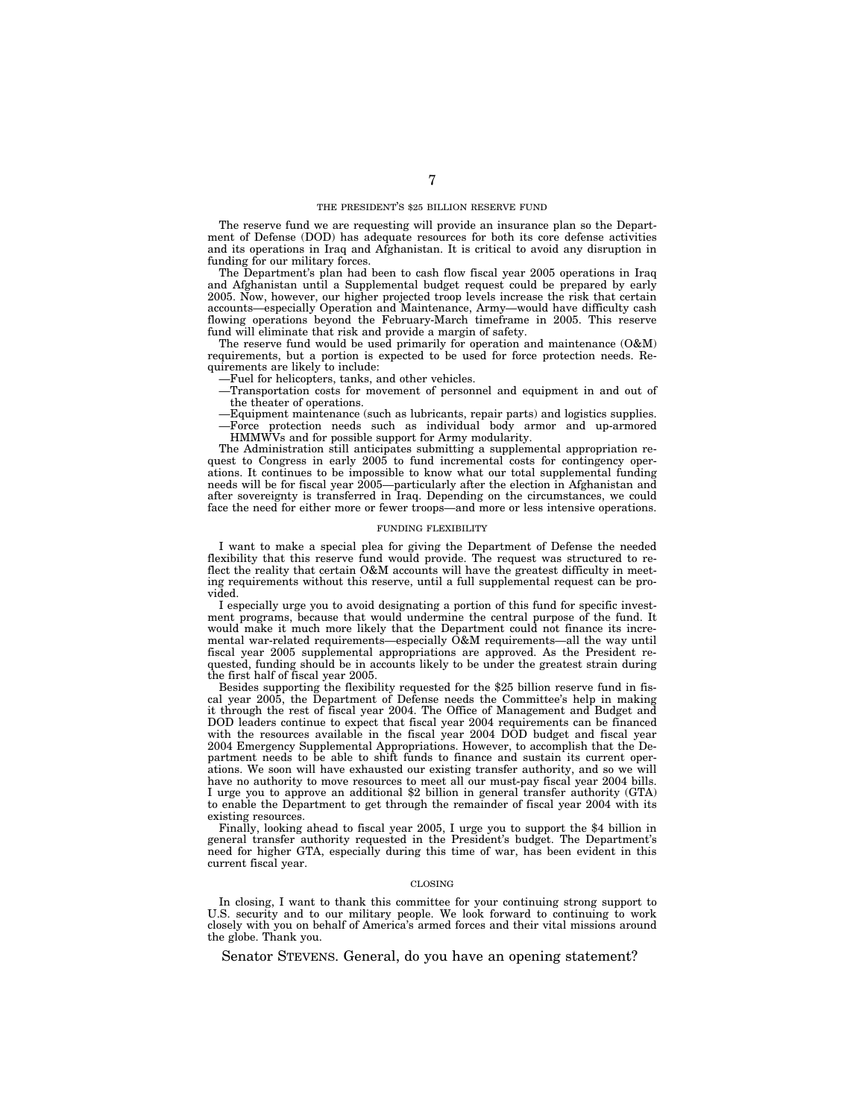#### THE PRESIDENT'S \$25 BILLION RESERVE FUND

The reserve fund we are requesting will provide an insurance plan so the Department of Defense (DOD) has adequate resources for both its core defense activities and its operations in Iraq and Afghanistan. It is critical to avoid any disruption in funding for our military forces.

The Department's plan had been to cash flow fiscal year 2005 operations in Iraq and Afghanistan until a Supplemental budget request could be prepared by early 2005. Now, however, our higher projected troop levels increase the risk that certain accounts—especially Operation and Maintenance, Army—would have difficulty cash flowing operations beyond the February-March timeframe in 2005. This reserve fund will eliminate that risk and provide a margin of safety.

The reserve fund would be used primarily for operation and maintenance (O&M) requirements, but a portion is expected to be used for force protection needs. Requirements are likely to include:

—Fuel for helicopters, tanks, and other vehicles.

—Transportation costs for movement of personnel and equipment in and out of the theater of operations.

—Equipment maintenance (such as lubricants, repair parts) and logistics supplies. —Force protection needs such as individual body armor and up-armored HMMWVs and for possible support for Army modularity.

The Administration still anticipates submitting a supplemental appropriation request to Congress in early 2005 to fund incremental costs for contingency operations. It continues to be impossible to know what our total supplemental funding needs will be for fiscal year 2005—particularly after the election in Afghanistan and after sovereignty is transferred in Iraq. Depending on the circumstances, we could face the need for either more or fewer troops—and more or less intensive operations.

#### FUNDING FLEXIBILITY

I want to make a special plea for giving the Department of Defense the needed flexibility that this reserve fund would provide. The request was structured to reflect the reality that certain O&M accounts will have the greatest difficulty in meeting requirements without this reserve, until a full supplemental request can be provided.

I especially urge you to avoid designating a portion of this fund for specific investment programs, because that would undermine the central purpose of the fund. It would make it much more likely that the Department could not finance its incremental war-related requirements—especially O&M requirements—all the way until fiscal year 2005 supplemental appropriations are approved. As the President requested, funding should be in accounts likely to be under the greatest strain during the first half of fiscal year 2005.

Besides supporting the flexibility requested for the \$25 billion reserve fund in fiscal year 2005, the Department of Defense needs the Committee's help in making it through the rest of fiscal year 2004. The Office of Management and Budget and DOD leaders continue to expect that fiscal year 2004 requirements can be financed with the resources available in the fiscal year 2004 DOD budget and fiscal year 2004 Emergency Supplemental Appropriations. However, to accomplish that the Department needs to be able to shift funds to finance and sustain its current operations. We soon will have exhausted our existing transfer authority, and so we will have no authority to move resources to meet all our must-pay fiscal year 2004 bills. I urge you to approve an additional \$2 billion in general transfer authority (GTA) to enable the Department to get through the remainder of fiscal year 2004 with its existing resources.

Finally, looking ahead to fiscal year 2005, I urge you to support the \$4 billion in general transfer authority requested in the President's budget. The Department's need for higher GTA, especially during this time of war, has been evident in this current fiscal year.

#### CLOSING

In closing, I want to thank this committee for your continuing strong support to U.S. security and to our military people. We look forward to continuing to work closely with you on behalf of America's armed forces and their vital missions around the globe. Thank you.

Senator STEVENS. General, do you have an opening statement?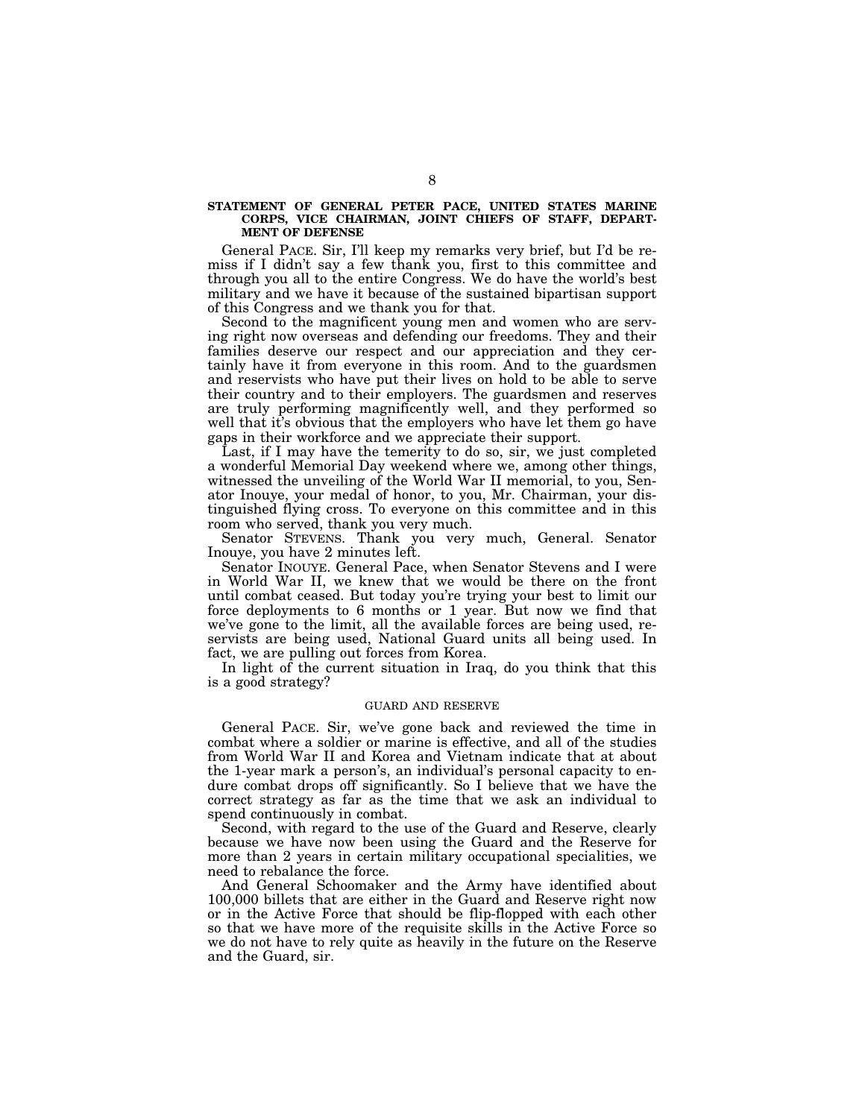#### **STATEMENT OF GENERAL PETER PACE, UNITED STATES MARINE CORPS, VICE CHAIRMAN, JOINT CHIEFS OF STAFF, DEPART-MENT OF DEFENSE**

General PACE. Sir, I'll keep my remarks very brief, but I'd be remiss if I didn't say a few thank you, first to this committee and through you all to the entire Congress. We do have the world's best military and we have it because of the sustained bipartisan support of this Congress and we thank you for that.

Second to the magnificent young men and women who are serving right now overseas and defending our freedoms. They and their families deserve our respect and our appreciation and they certainly have it from everyone in this room. And to the guardsmen and reservists who have put their lives on hold to be able to serve their country and to their employers. The guardsmen and reserves are truly performing magnificently well, and they performed so well that it's obvious that the employers who have let them go have gaps in their workforce and we appreciate their support.

Last, if I may have the temerity to do so, sir, we just completed a wonderful Memorial Day weekend where we, among other things, witnessed the unveiling of the World War II memorial, to you, Senator Inouye, your medal of honor, to you, Mr. Chairman, your distinguished flying cross. To everyone on this committee and in this room who served, thank you very much.

Senator STEVENS. Thank you very much, General. Senator Inouye, you have 2 minutes left.

Senator INOUYE. General Pace, when Senator Stevens and I were in World War II, we knew that we would be there on the front until combat ceased. But today you're trying your best to limit our force deployments to 6 months or 1 year. But now we find that we've gone to the limit, all the available forces are being used, reservists are being used, National Guard units all being used. In fact, we are pulling out forces from Korea.

In light of the current situation in Iraq, do you think that this is a good strategy?

#### GUARD AND RESERVE

General PACE. Sir, we've gone back and reviewed the time in combat where a soldier or marine is effective, and all of the studies from World War II and Korea and Vietnam indicate that at about the 1-year mark a person's, an individual's personal capacity to endure combat drops off significantly. So I believe that we have the correct strategy as far as the time that we ask an individual to spend continuously in combat.

Second, with regard to the use of the Guard and Reserve, clearly because we have now been using the Guard and the Reserve for more than 2 years in certain military occupational specialities, we need to rebalance the force.

And General Schoomaker and the Army have identified about 100,000 billets that are either in the Guard and Reserve right now or in the Active Force that should be flip-flopped with each other so that we have more of the requisite skills in the Active Force so we do not have to rely quite as heavily in the future on the Reserve and the Guard, sir.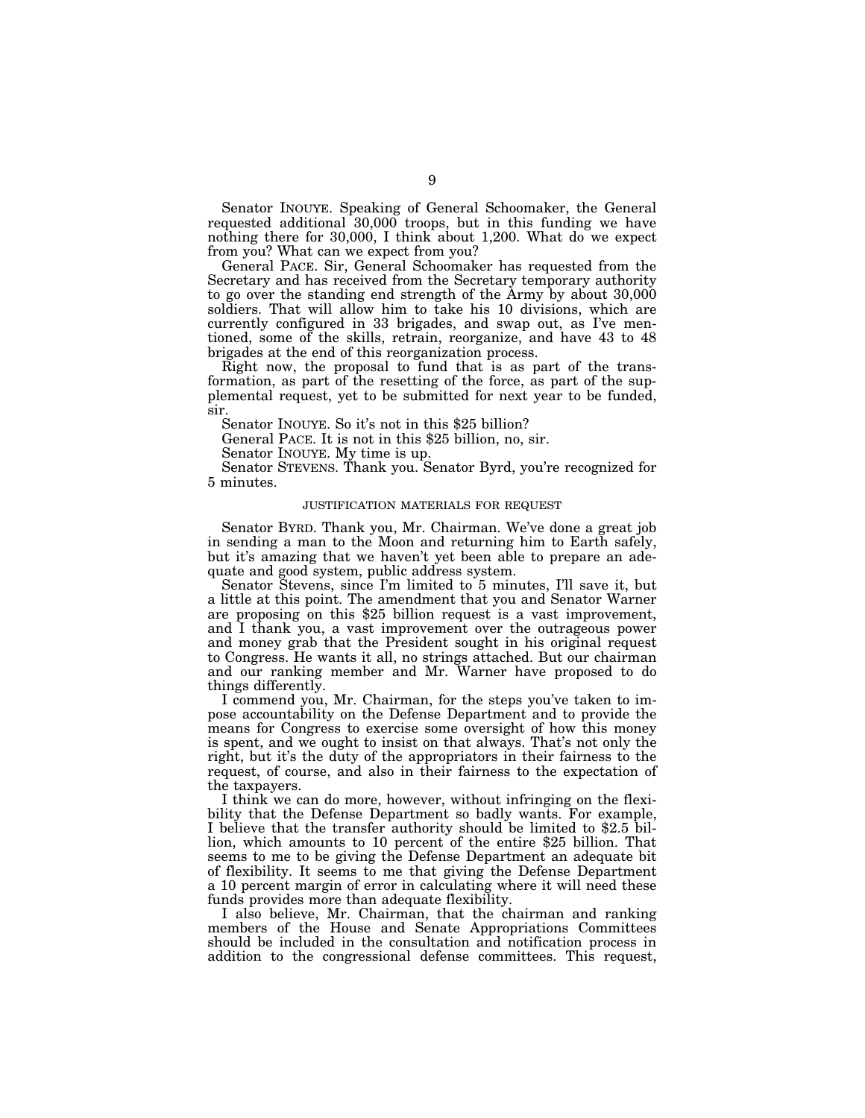Senator INOUYE. Speaking of General Schoomaker, the General requested additional 30,000 troops, but in this funding we have nothing there for 30,000, I think about 1,200. What do we expect from you? What can we expect from you?

General PACE. Sir, General Schoomaker has requested from the Secretary and has received from the Secretary temporary authority to go over the standing end strength of the Army by about 30,000 soldiers. That will allow him to take his 10 divisions, which are currently configured in 33 brigades, and swap out, as I've mentioned, some of the skills, retrain, reorganize, and have 43 to 48 brigades at the end of this reorganization process.

Right now, the proposal to fund that is as part of the transformation, as part of the resetting of the force, as part of the supplemental request, yet to be submitted for next year to be funded, sir.

Senator INOUYE. So it's not in this \$25 billion?

General PACE. It is not in this \$25 billion, no, sir.

Senator INOUYE. My time is up.

Senator STEVENS. Thank you. Senator Byrd, you're recognized for 5 minutes.

#### JUSTIFICATION MATERIALS FOR REQUEST

Senator BYRD. Thank you, Mr. Chairman. We've done a great job in sending a man to the Moon and returning him to Earth safely, but it's amazing that we haven't yet been able to prepare an adequate and good system, public address system.

Senator Stevens, since I'm limited to 5 minutes, I'll save it, but a little at this point. The amendment that you and Senator Warner are proposing on this \$25 billion request is a vast improvement, and I thank you, a vast improvement over the outrageous power and money grab that the President sought in his original request to Congress. He wants it all, no strings attached. But our chairman and our ranking member and Mr. Warner have proposed to do things differently.

I commend you, Mr. Chairman, for the steps you've taken to impose accountability on the Defense Department and to provide the means for Congress to exercise some oversight of how this money is spent, and we ought to insist on that always. That's not only the right, but it's the duty of the appropriators in their fairness to the request, of course, and also in their fairness to the expectation of the taxpayers.

I think we can do more, however, without infringing on the flexibility that the Defense Department so badly wants. For example, I believe that the transfer authority should be limited to \$2.5 billion, which amounts to 10 percent of the entire \$25 billion. That seems to me to be giving the Defense Department an adequate bit of flexibility. It seems to me that giving the Defense Department a 10 percent margin of error in calculating where it will need these funds provides more than adequate flexibility.

I also believe, Mr. Chairman, that the chairman and ranking members of the House and Senate Appropriations Committees should be included in the consultation and notification process in addition to the congressional defense committees. This request,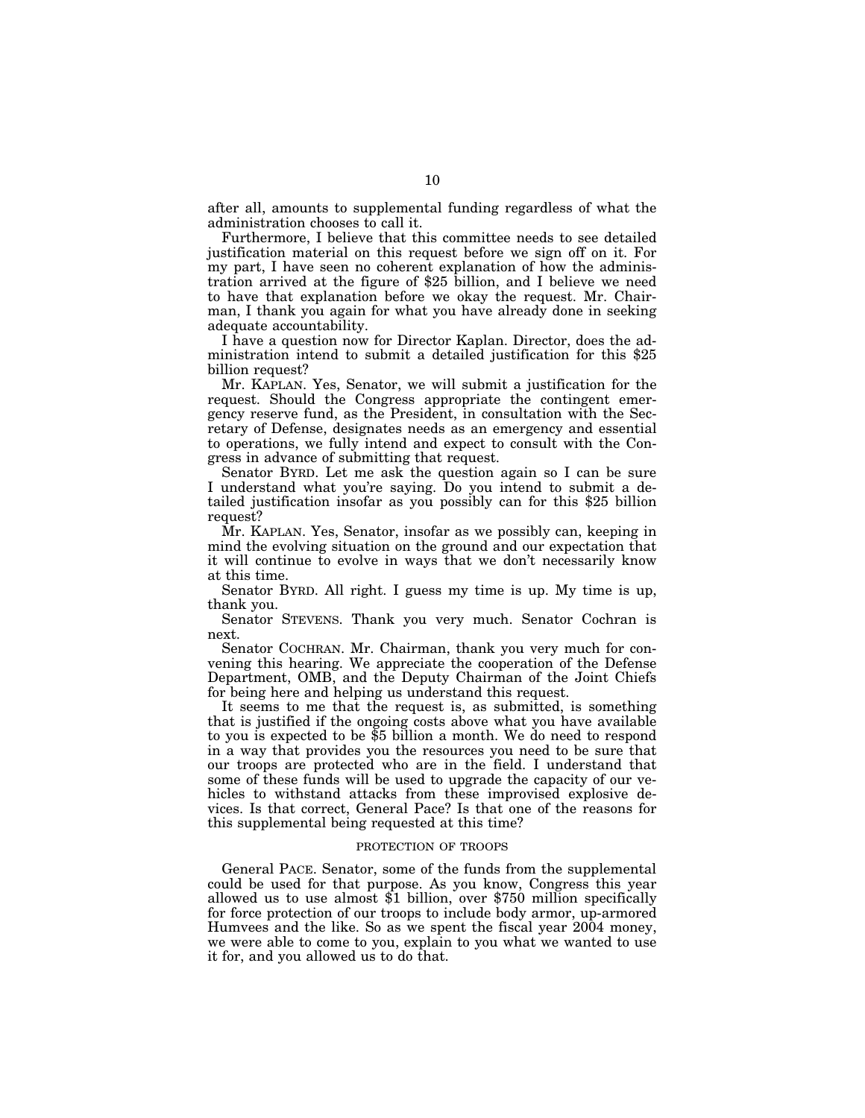after all, amounts to supplemental funding regardless of what the administration chooses to call it.

Furthermore, I believe that this committee needs to see detailed justification material on this request before we sign off on it. For my part, I have seen no coherent explanation of how the administration arrived at the figure of \$25 billion, and I believe we need to have that explanation before we okay the request. Mr. Chairman, I thank you again for what you have already done in seeking adequate accountability.

I have a question now for Director Kaplan. Director, does the administration intend to submit a detailed justification for this \$25 billion request?

Mr. KAPLAN. Yes, Senator, we will submit a justification for the request. Should the Congress appropriate the contingent emergency reserve fund, as the President, in consultation with the Secretary of Defense, designates needs as an emergency and essential to operations, we fully intend and expect to consult with the Congress in advance of submitting that request.

Senator BYRD. Let me ask the question again so I can be sure I understand what you're saying. Do you intend to submit a detailed justification insofar as you possibly can for this \$25 billion request?

Mr. KAPLAN. Yes, Senator, insofar as we possibly can, keeping in mind the evolving situation on the ground and our expectation that it will continue to evolve in ways that we don't necessarily know at this time.

Senator BYRD. All right. I guess my time is up. My time is up, thank you.

Senator STEVENS. Thank you very much. Senator Cochran is next.

Senator COCHRAN. Mr. Chairman, thank you very much for convening this hearing. We appreciate the cooperation of the Defense Department, OMB, and the Deputy Chairman of the Joint Chiefs for being here and helping us understand this request.

It seems to me that the request is, as submitted, is something that is justified if the ongoing costs above what you have available to you is expected to be \$5 billion a month. We do need to respond in a way that provides you the resources you need to be sure that our troops are protected who are in the field. I understand that some of these funds will be used to upgrade the capacity of our vehicles to withstand attacks from these improvised explosive devices. Is that correct, General Pace? Is that one of the reasons for this supplemental being requested at this time?

#### PROTECTION OF TROOPS

General PACE. Senator, some of the funds from the supplemental could be used for that purpose. As you know, Congress this year allowed us to use almost \$1 billion, over \$750 million specifically for force protection of our troops to include body armor, up-armored Humvees and the like. So as we spent the fiscal year 2004 money, we were able to come to you, explain to you what we wanted to use it for, and you allowed us to do that.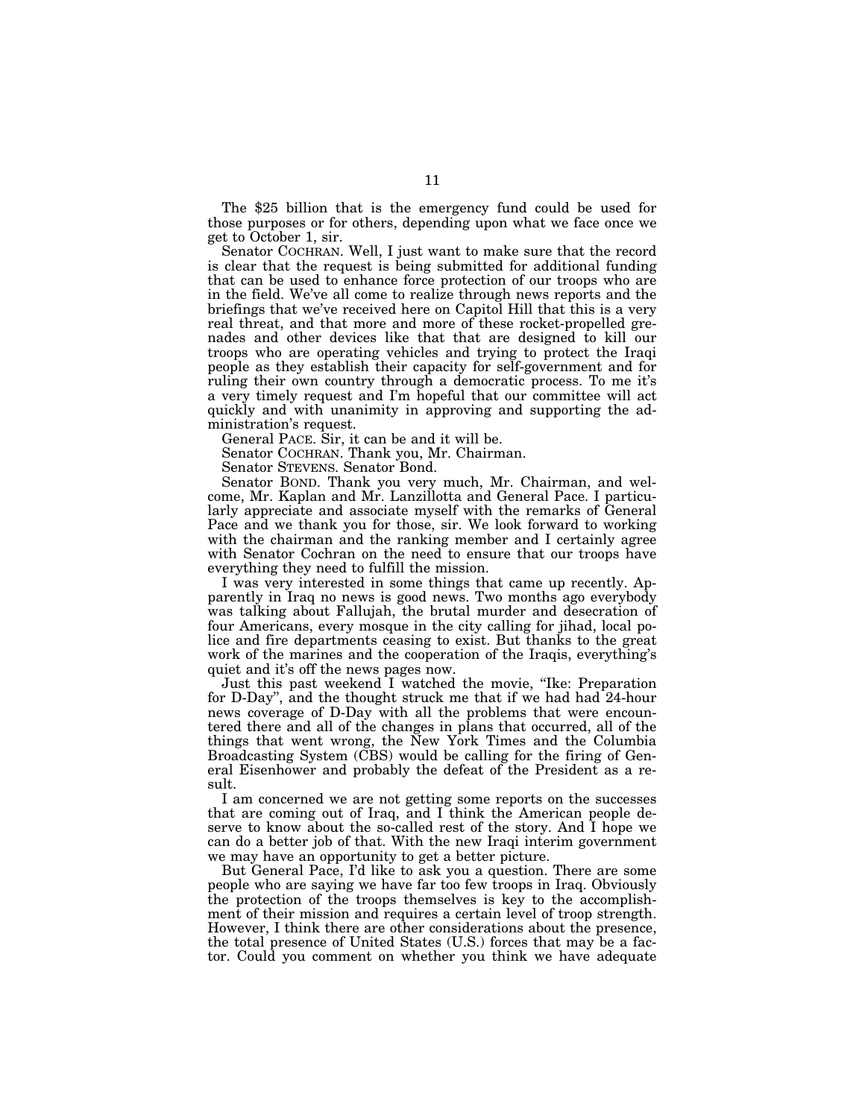The \$25 billion that is the emergency fund could be used for those purposes or for others, depending upon what we face once we get to October 1, sir.

Senator COCHRAN. Well, I just want to make sure that the record is clear that the request is being submitted for additional funding that can be used to enhance force protection of our troops who are in the field. We've all come to realize through news reports and the briefings that we've received here on Capitol Hill that this is a very real threat, and that more and more of these rocket-propelled grenades and other devices like that that are designed to kill our troops who are operating vehicles and trying to protect the Iraqi people as they establish their capacity for self-government and for ruling their own country through a democratic process. To me it's a very timely request and I'm hopeful that our committee will act quickly and with unanimity in approving and supporting the administration's request.

General PACE. Sir, it can be and it will be.

Senator COCHRAN. Thank you, Mr. Chairman.

Senator STEVENS. Senator Bond.

Senator BOND. Thank you very much, Mr. Chairman, and welcome, Mr. Kaplan and Mr. Lanzillotta and General Pace. I particularly appreciate and associate myself with the remarks of General Pace and we thank you for those, sir. We look forward to working with the chairman and the ranking member and I certainly agree with Senator Cochran on the need to ensure that our troops have everything they need to fulfill the mission.

I was very interested in some things that came up recently. Apparently in Iraq no news is good news. Two months ago everybody was talking about Fallujah, the brutal murder and desecration of four Americans, every mosque in the city calling for jihad, local police and fire departments ceasing to exist. But thanks to the great work of the marines and the cooperation of the Iraqis, everything's quiet and it's off the news pages now.

Just this past weekend I watched the movie, "Ike: Preparation for D-Day'', and the thought struck me that if we had had 24-hour news coverage of D-Day with all the problems that were encountered there and all of the changes in plans that occurred, all of the things that went wrong, the New York Times and the Columbia Broadcasting System (CBS) would be calling for the firing of General Eisenhower and probably the defeat of the President as a result.

I am concerned we are not getting some reports on the successes that are coming out of Iraq, and I think the American people deserve to know about the so-called rest of the story. And I hope we can do a better job of that. With the new Iraqi interim government we may have an opportunity to get a better picture.

But General Pace, I'd like to ask you a question. There are some people who are saying we have far too few troops in Iraq. Obviously the protection of the troops themselves is key to the accomplishment of their mission and requires a certain level of troop strength. However, I think there are other considerations about the presence, the total presence of United States (U.S.) forces that may be a factor. Could you comment on whether you think we have adequate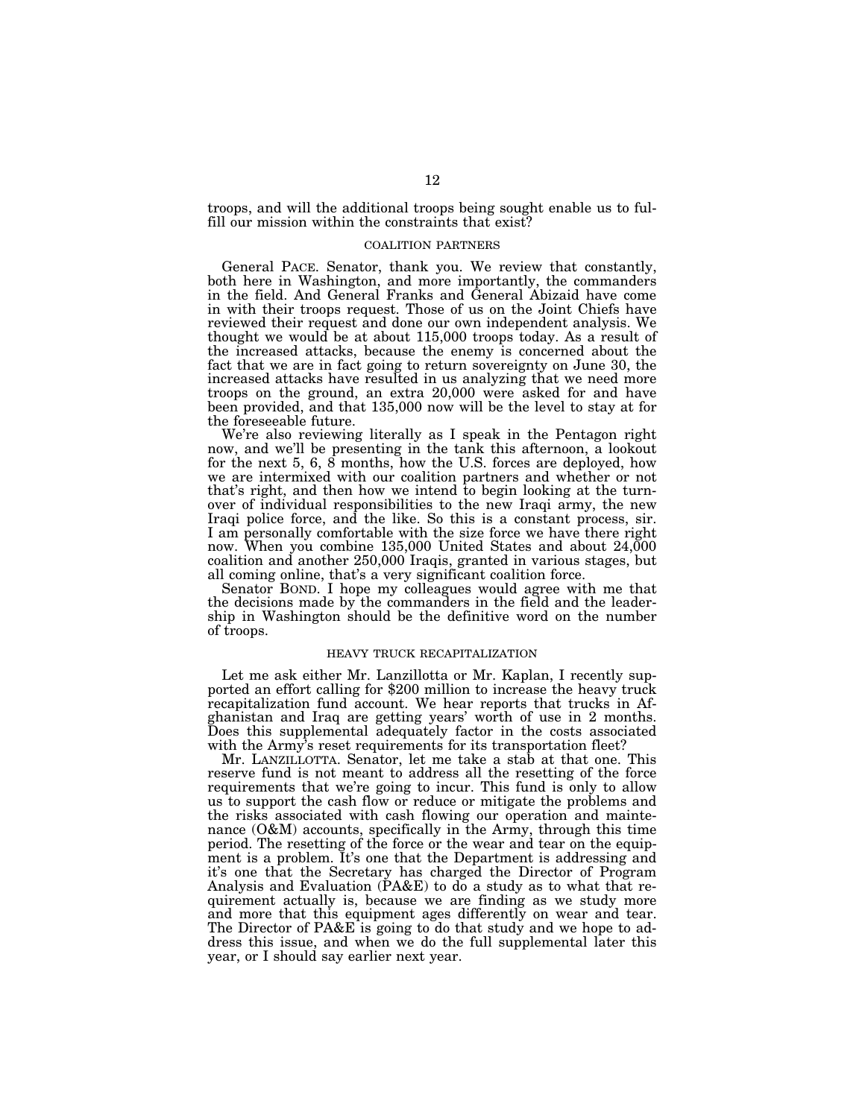troops, and will the additional troops being sought enable us to fulfill our mission within the constraints that exist?

#### COALITION PARTNERS

General PACE. Senator, thank you. We review that constantly, both here in Washington, and more importantly, the commanders in the field. And General Franks and General Abizaid have come in with their troops request. Those of us on the Joint Chiefs have reviewed their request and done our own independent analysis. We thought we would be at about 115,000 troops today. As a result of the increased attacks, because the enemy is concerned about the fact that we are in fact going to return sovereignty on June 30, the increased attacks have resulted in us analyzing that we need more troops on the ground, an extra 20,000 were asked for and have been provided, and that 135,000 now will be the level to stay at for the foreseeable future.

We're also reviewing literally as I speak in the Pentagon right now, and we'll be presenting in the tank this afternoon, a lookout for the next 5, 6, 8 months, how the U.S. forces are deployed, how we are intermixed with our coalition partners and whether or not that's right, and then how we intend to begin looking at the turnover of individual responsibilities to the new Iraqi army, the new Iraqi police force, and the like. So this is a constant process, sir. I am personally comfortable with the size force we have there right now. When you combine 135,000 United States and about 24,000 coalition and another 250,000 Iraqis, granted in various stages, but all coming online, that's a very significant coalition force.

Senator BOND. I hope my colleagues would agree with me that the decisions made by the commanders in the field and the leadership in Washington should be the definitive word on the number of troops.

#### HEAVY TRUCK RECAPITALIZATION

Let me ask either Mr. Lanzillotta or Mr. Kaplan, I recently supported an effort calling for \$200 million to increase the heavy truck recapitalization fund account. We hear reports that trucks in Afghanistan and Iraq are getting years' worth of use in 2 months. Does this supplemental adequately factor in the costs associated with the Army's reset requirements for its transportation fleet?

Mr. LANZILLOTTA. Senator, let me take a stab at that one. This reserve fund is not meant to address all the resetting of the force requirements that we're going to incur. This fund is only to allow us to support the cash flow or reduce or mitigate the problems and the risks associated with cash flowing our operation and maintenance (O&M) accounts, specifically in the Army, through this time period. The resetting of the force or the wear and tear on the equipment is a problem. It's one that the Department is addressing and it's one that the Secretary has charged the Director of Program Analysis and Evaluation (PA&E) to do a study as to what that requirement actually is, because we are finding as we study more and more that this equipment ages differently on wear and tear. The Director of PA&E is going to do that study and we hope to address this issue, and when we do the full supplemental later this year, or I should say earlier next year.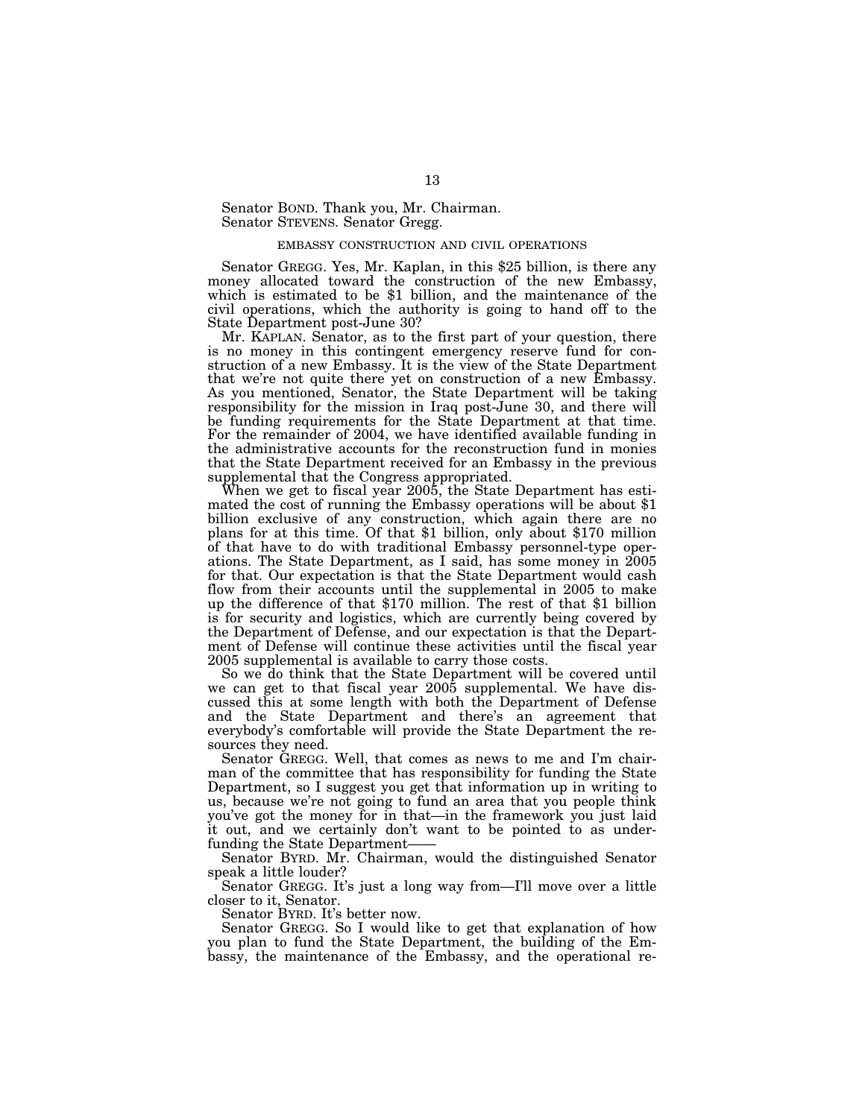Senator BOND. Thank you, Mr. Chairman. Senator STEVENS. Senator Gregg.

#### EMBASSY CONSTRUCTION AND CIVIL OPERATIONS

Senator GREGG. Yes, Mr. Kaplan, in this \$25 billion, is there any money allocated toward the construction of the new Embassy, which is estimated to be \$1 billion, and the maintenance of the civil operations, which the authority is going to hand off to the State Department post-June 30?

Mr. KAPLAN. Senator, as to the first part of your question, there is no money in this contingent emergency reserve fund for construction of a new Embassy. It is the view of the State Department that we're not quite there yet on construction of a new Embassy. As you mentioned, Senator, the State Department will be taking responsibility for the mission in Iraq post-June 30, and there will be funding requirements for the State Department at that time. For the remainder of 2004, we have identified available funding in the administrative accounts for the reconstruction fund in monies that the State Department received for an Embassy in the previous supplemental that the Congress appropriated.<br>When we get to fiscal year 2005, the State Department has esti-

mated the cost of running the Embassy operations will be about \$1 billion exclusive of any construction, which again there are no plans for at this time. Of that \$1 billion, only about \$170 million of that have to do with traditional Embassy personnel-type operations. The State Department, as I said, has some money in 2005 for that. Our expectation is that the State Department would cash flow from their accounts until the supplemental in 2005 to make up the difference of that \$170 million. The rest of that \$1 billion is for security and logistics, which are currently being covered by the Department of Defense, and our expectation is that the Department of Defense will continue these activities until the fiscal year 2005 supplemental is available to carry those costs.

So we do think that the State Department will be covered until we can get to that fiscal year 2005 supplemental. We have discussed this at some length with both the Department of Defense and the State Department and there's an agreement that everybody's comfortable will provide the State Department the resources they need.

Senator GREGG. Well, that comes as news to me and I'm chairman of the committee that has responsibility for funding the State Department, so I suggest you get that information up in writing to us, because we're not going to fund an area that you people think you've got the money for in that—in the framework you just laid it out, and we certainly don't want to be pointed to as underfunding the State Department-

Senator BYRD. Mr. Chairman, would the distinguished Senator speak a little louder?

Senator GREGG. It's just a long way from—I'll move over a little closer to it, Senator.

Senator BYRD. It's better now.

Senator GREGG. So I would like to get that explanation of how you plan to fund the State Department, the building of the Embassy, the maintenance of the Embassy, and the operational re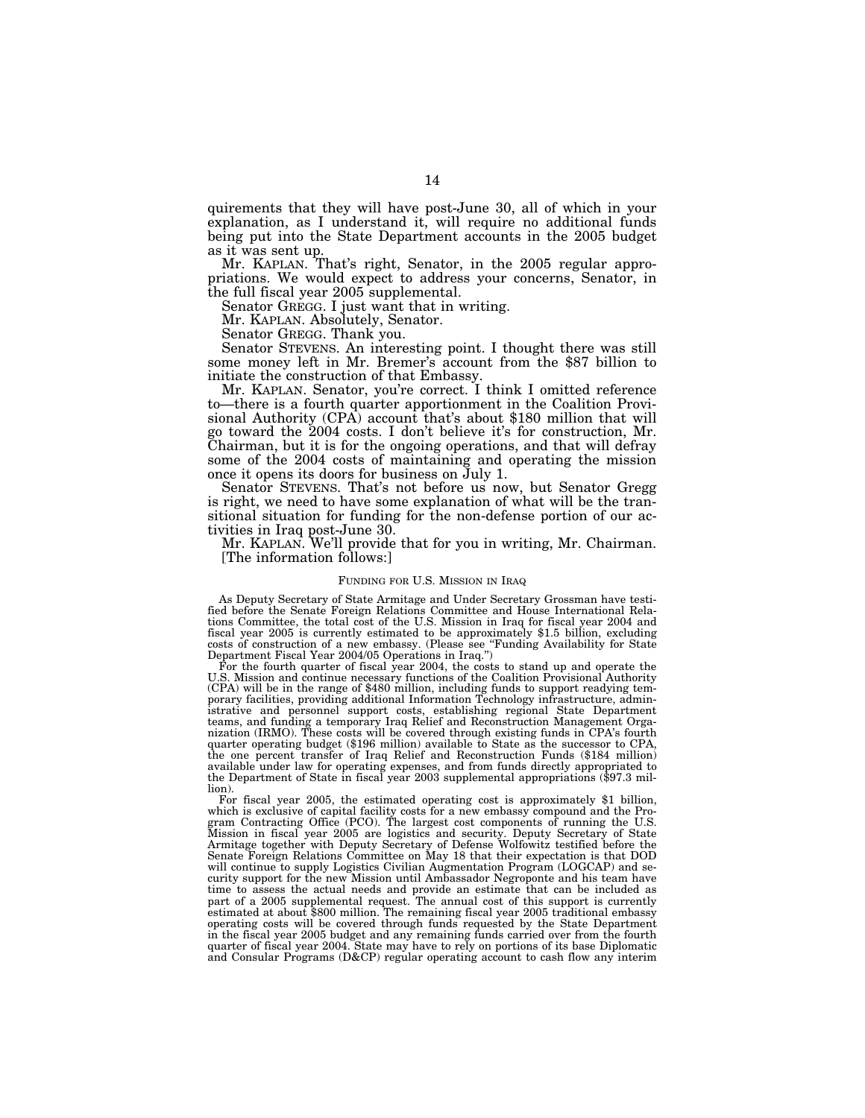quirements that they will have post-June 30, all of which in your explanation, as I understand it, will require no additional funds being put into the State Department accounts in the 2005 budget as it was sent up.

Mr. KAPLAN. That's right, Senator, in the 2005 regular appropriations. We would expect to address your concerns, Senator, in the full fiscal year 2005 supplemental.

Senator GREGG. I just want that in writing.

Mr. KAPLAN. Absolutely, Senator.

Senator GREGG. Thank you.<br>Senator STEVENS. An interesting point. I thought there was still some money left in Mr. Bremer's account from the \$87 billion to initiate the construction of that Embassy.

Mr. KAPLAN. Senator, you're correct. I think I omitted reference to—there is a fourth quarter apportionment in the Coalition Provisional Authority (CPA) account that's about \$180 million that will go toward the 2004 costs. I don't believe it's for construction, Mr. Chairman, but it is for the ongoing operations, and that will defray some of the 2004 costs of maintaining and operating the mission once it opens its doors for business on July 1.

Senator STEVENS. That's not before us now, but Senator Gregg is right, we need to have some explanation of what will be the transitional situation for funding for the non-defense portion of our activities in Iraq post-June 30.

Mr. KAPLAN. We'll provide that for you in writing, Mr. Chairman. [The information follows:]

#### FUNDING FOR U.S. MISSION IN IRAQ

As Deputy Secretary of State Armitage and Under Secretary Grossman have testified before the Senate Foreign Relations Committee and House International Relations Committee, the total cost of the U.S. Mission in Iraq for fiscal year 2004 and fiscal year 2005 is currently estimated to be approximately \$1.5 billion, excluding costs of construction of a new embassy. (Please see "Funding Availability for State Department Fiscal Year 2004/05 Operations in Iraq.'')

For the fourth quarter of fiscal year 2004, the costs to stand up and operate the U.S. Mission and continue necessary functions of the Coalition Provisional Authority (CPA) will be in the range of \$480 million, including funds to support readying temporary facilities, providing additional Information Technology infrastructure, admin-istrative and personnel support costs, establishing regional State Department teams, and funding a temporary Iraq Relief and Reconstruction Management Orga-nization (IRMO). These costs will be covered through existing funds in CPA's fourth quarter operating budget (\$196 million) available to State as the successor to CPA, the one percent transfer of Iraq Relief and Reconstruction Funds (\$184 million) available under law for operating expenses, and from funds directly appropriated to the Department of State in fiscal year 2003 supplemental appropriations (\$97.3 million).

For fiscal year 2005, the estimated operating cost is approximately \$1 billion, which is exclusive of capital facility costs for a new embassy compound and the Program Contracting Office (PCO). The largest cost components of running the U.S.<br>Mission in fiscal year 2005 are logistics and security. Deputy Secretary of State<br>Armitage together with Deputy Secretary of Defense Wolfowitz Senate Foreign Relations Committee on May 18 that their expectation is that DOD will continue to supply Logistics Civilian Augmentation Program (LOGCAP) and security support for the new Mission until Ambassador Negroponte and his team have time to assess the actual needs and provide an estimate that can be included as part of a 2005 supplemental request. The annual cost of this support is currently estimated at about \$800 million. The remaining fiscal year 2005 traditional embassy operating costs will be covered through funds requested by the State Department in the fiscal year 2005 budget and any remaining funds carried over from the fourth quarter of fiscal year 2004. State may have to rely on portions of its base Diplomatic and Consular Programs (D&CP) regular operating account to cash flow any interim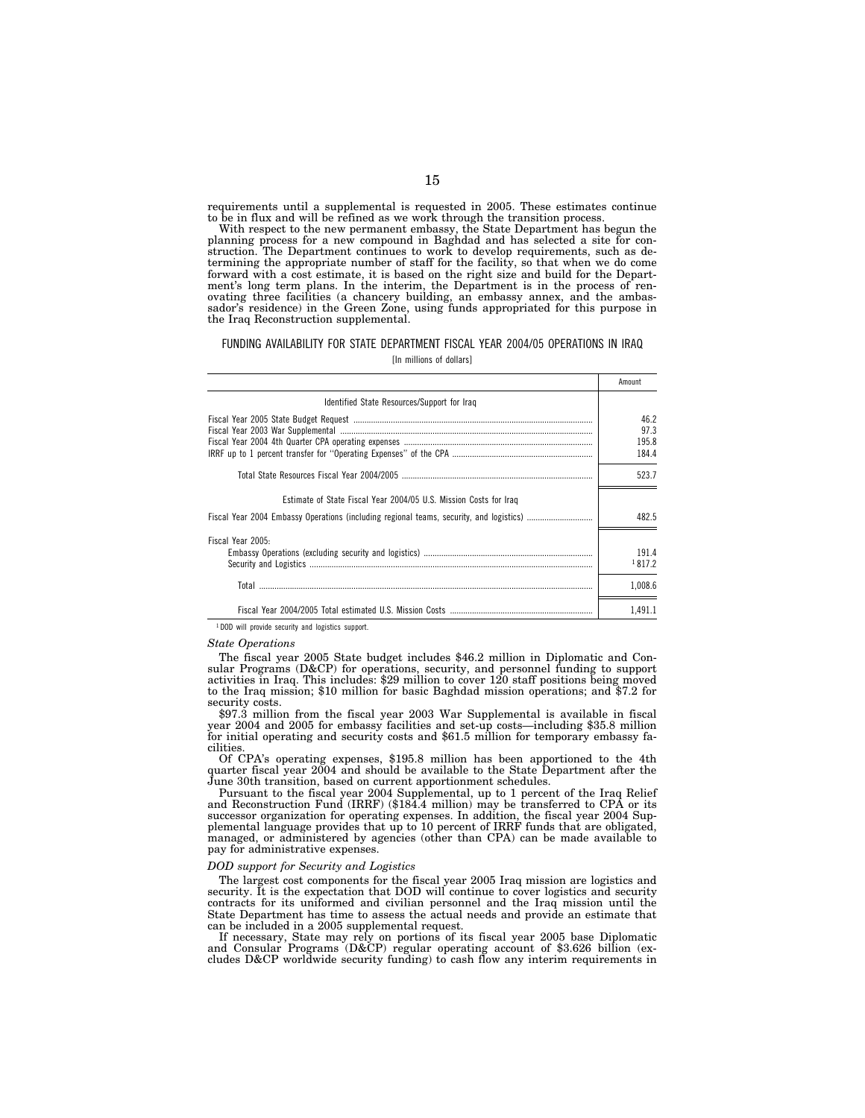requirements until a supplemental is requested in 2005. These estimates continue to be in flux and will be refined as we work through the transition process.

With respect to the new permanent embassy, the State Department has begun the planning process for a new compound in Baghdad and has selected a site for construction. The Department continues to work to develop requirements, such as determining the appropriate number of staff for the facility, so that when we do come forward with a cost estimate, it is based on the right size and build for the Department's long term plans. In the interim, the Department is in the process of renovating three facilities (a chancery building, an embassy annex, and the ambassador's residence) in the Green Zone, using funds appropriated for this purpose in the Iraq Reconstruction supplemental.

#### FUNDING AVAILABILITY FOR STATE DEPARTMENT FISCAL YEAR 2004/05 OPERATIONS IN IRAQ [In millions of dollars]

|                                                                                          | Amount  |
|------------------------------------------------------------------------------------------|---------|
| Identified State Resources/Support for Iraq                                              |         |
| ${\bf Fical Year~2005~State~Budget~Request~}$ ${\bf Fical~Year~2003~War~Supplemental~~}$ | 46.2    |
|                                                                                          | 97.3    |
|                                                                                          | 195.8   |
|                                                                                          | 184.4   |
|                                                                                          | 523.7   |
| Estimate of State Fiscal Year 2004/05 U.S. Mission Costs for Iraq                        |         |
|                                                                                          | 482.5   |
| Fiscal Year 2005:                                                                        |         |
|                                                                                          | 191.4   |
|                                                                                          | 1817.2  |
|                                                                                          | 1.008.6 |
|                                                                                          | 1.491.1 |

<sup>1</sup> DOD will provide security and logistics support.

#### *State Operations*

The fiscal year 2005 State budget includes \$46.2 million in Diplomatic and Consular Programs (D&CP) for operations, security, and personnel funding to support activities in Iraq. This includes: \$29 million to cover 120 staff positions being moved to the Iraq mission; \$10 million for basic Baghdad mission operations; and \$7.2 for security costs.

\$97.3 million from the fiscal year 2003 War Supplemental is available in fiscal year 2004 and 2005 for embassy facilities and set-up costs—including \$35.8 million for initial operating and security costs and \$61.5 million for temporary embassy facilities.

Of CPA's operating expenses, \$195.8 million has been apportioned to the 4th quarter fiscal year 2004 and should be available to the State Department after the June 30th transition, based on current apportionment schedules.

Pursuant to the fiscal year 2004 Supplemental, up to 1 percent of the Iraq Relief and Reconstruction Fund (IRRF) (\$184.4 million) may be transferred to CPA or its successor organization for operating expenses. In addition, the fiscal year 2004 Supplemental language provides that up to 10 percent of IRRF funds that are obligated, managed, or administered by agencies (other than CPA) can be made available to pay for administrative expenses.

#### *DOD support for Security and Logistics*

The largest cost components for the fiscal year 2005 Iraq mission are logistics and security. It is the expectation that DOD will continue to cover logistics and security contracts for its uniformed and civilian personnel and the Iraq mission until the State Department has time to assess the actual needs and provide an estimate that can be included in a 2005 supplemental request.

If necessary, State may rely on portions of its fiscal year 2005 base Diplomatic and Consular Programs (D&CP) regular operating account of \$3.626 billion (excludes D&CP worldwide security funding) to cash flow any interim requirements in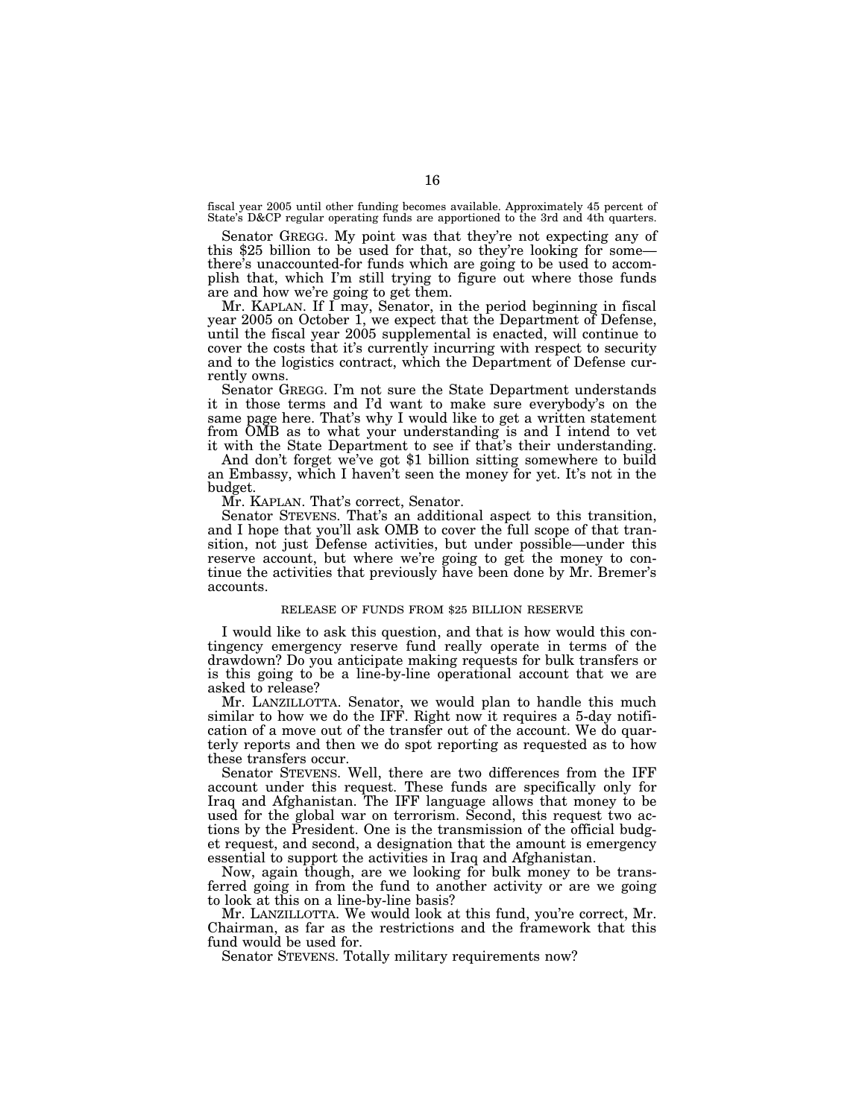fiscal year 2005 until other funding becomes available. Approximately 45 percent of State's D&CP regular operating funds are apportioned to the 3rd and 4th quarters.

Senator GREGG. My point was that they're not expecting any of this \$25 billion to be used for that, so they're looking for some there's unaccounted-for funds which are going to be used to accomplish that, which I'm still trying to figure out where those funds are and how we're going to get them.

Mr. KAPLAN. If  $\overline{\mathrm{I}}$  may, Senator, in the period beginning in fiscal year 2005 on October 1, we expect that the Department of Defense, until the fiscal year 2005 supplemental is enacted, will continue to cover the costs that it's currently incurring with respect to security and to the logistics contract, which the Department of Defense currently owns.

Senator GREGG. I'm not sure the State Department understands it in those terms and I'd want to make sure everybody's on the same page here. That's why I would like to get a written statement from OMB as to what your understanding is and I intend to vet it with the State Department to see if that's their understanding.

And don't forget we've got \$1 billion sitting somewhere to build an Embassy, which I haven't seen the money for yet. It's not in the budget.

Mr. KAPLAN. That's correct, Senator.

Senator STEVENS. That's an additional aspect to this transition, and I hope that you'll ask OMB to cover the full scope of that transition, not just Defense activities, but under possible—under this reserve account, but where we're going to get the money to continue the activities that previously have been done by Mr. Bremer's accounts.

#### RELEASE OF FUNDS FROM \$25 BILLION RESERVE

I would like to ask this question, and that is how would this contingency emergency reserve fund really operate in terms of the drawdown? Do you anticipate making requests for bulk transfers or is this going to be a line-by-line operational account that we are asked to release?

Mr. LANZILLOTTA. Senator, we would plan to handle this much similar to how we do the IFF. Right now it requires a 5-day notification of a move out of the transfer out of the account. We do quarterly reports and then we do spot reporting as requested as to how these transfers occur.

Senator STEVENS. Well, there are two differences from the IFF account under this request. These funds are specifically only for Iraq and Afghanistan. The IFF language allows that money to be used for the global war on terrorism. Second, this request two actions by the President. One is the transmission of the official budget request, and second, a designation that the amount is emergency essential to support the activities in Iraq and Afghanistan.

Now, again though, are we looking for bulk money to be transferred going in from the fund to another activity or are we going to look at this on a line-by-line basis?

Mr. LANZILLOTTA. We would look at this fund, you're correct, Mr. Chairman, as far as the restrictions and the framework that this fund would be used for.

Senator STEVENS. Totally military requirements now?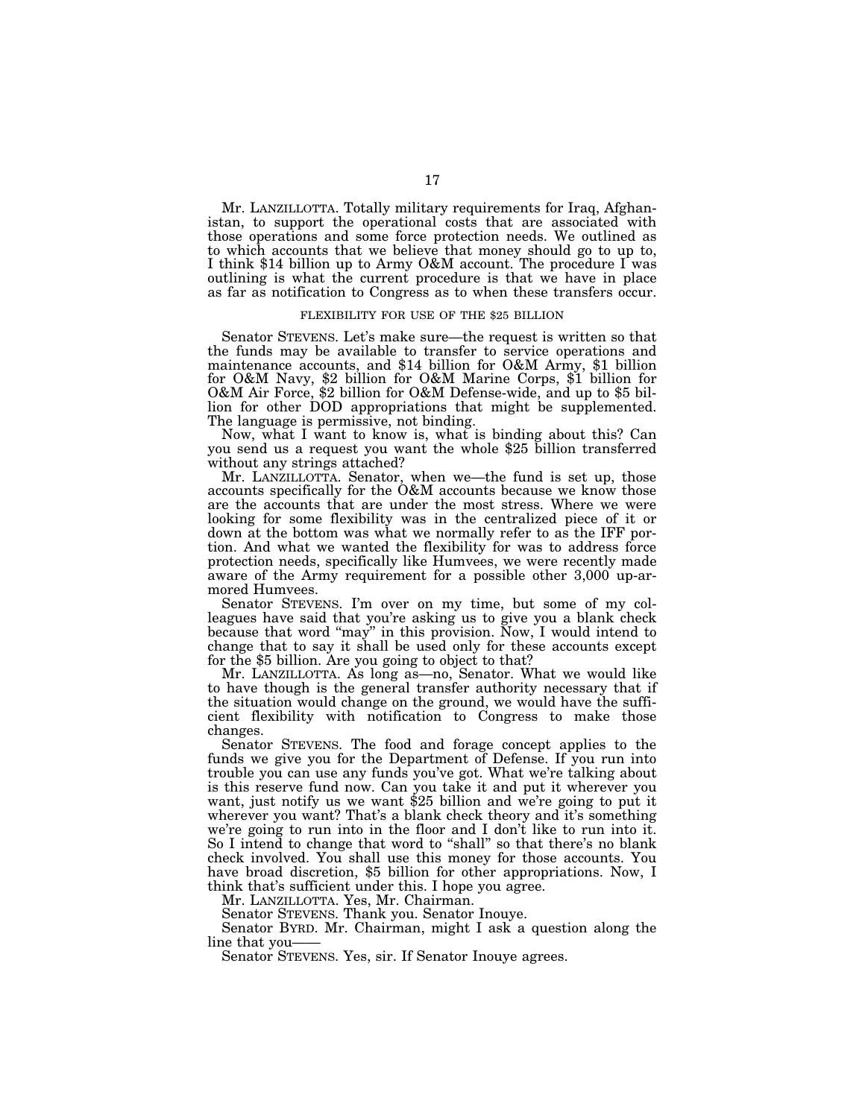Mr. LANZILLOTTA. Totally military requirements for Iraq, Afghanistan, to support the operational costs that are associated with those operations and some force protection needs. We outlined as to which accounts that we believe that money should go to up to, I think \$14 billion up to Army O&M account. The procedure I was outlining is what the current procedure is that we have in place as far as notification to Congress as to when these transfers occur.

#### FLEXIBILITY FOR USE OF THE \$25 BILLION

Senator STEVENS. Let's make sure—the request is written so that the funds may be available to transfer to service operations and maintenance accounts, and \$14 billion for O&M Army, \$1 billion for O&M Navy, \$2 billion for O&M Marine Corps, \$1 billion for O&M Air Force, \$2 billion for O&M Defense-wide, and up to \$5 billion for other DOD appropriations that might be supplemented. The language is permissive, not binding.<br>Now, what I want to know is, what is binding about this? Can

you send us a request you want the whole \$25 billion transferred without any strings attached?

Mr. LANZILLOTTA. Senator, when we—the fund is set up, those accounts specifically for the O&M accounts because we know those are the accounts that are under the most stress. Where we were looking for some flexibility was in the centralized piece of it or down at the bottom was what we normally refer to as the IFF portion. And what we wanted the flexibility for was to address force protection needs, specifically like Humvees, we were recently made aware of the Army requirement for a possible other 3,000 up-armored Humvees.

Senator STEVENS. I'm over on my time, but some of my colleagues have said that you're asking us to give you a blank check because that word "may" in this provision. Now, I would intend to change that to say it shall be used only for these accounts except for the \$5 billion. Are you going to object to that?

Mr. LANZILLOTTA. As long as—no, Senator. What we would like to have though is the general transfer authority necessary that if the situation would change on the ground, we would have the sufficient flexibility with notification to Congress to make those changes.

Senator STEVENS. The food and forage concept applies to the funds we give you for the Department of Defense. If you run into trouble you can use any funds you've got. What we're talking about is this reserve fund now. Can you take it and put it wherever you want, just notify us we want \$25 billion and we're going to put it wherever you want? That's a blank check theory and it's something we're going to run into in the floor and I don't like to run into it. So I intend to change that word to "shall" so that there's no blank check involved. You shall use this money for those accounts. You have broad discretion, \$5 billion for other appropriations. Now, I think that's sufficient under this. I hope you agree.

Mr. LANZILLOTTA. Yes, Mr. Chairman.

Senator STEVENS. Thank you. Senator Inouye.

Senator BYRD. Mr. Chairman, might I ask a question along the line that you——

Senator STEVENS. Yes, sir. If Senator Inouye agrees.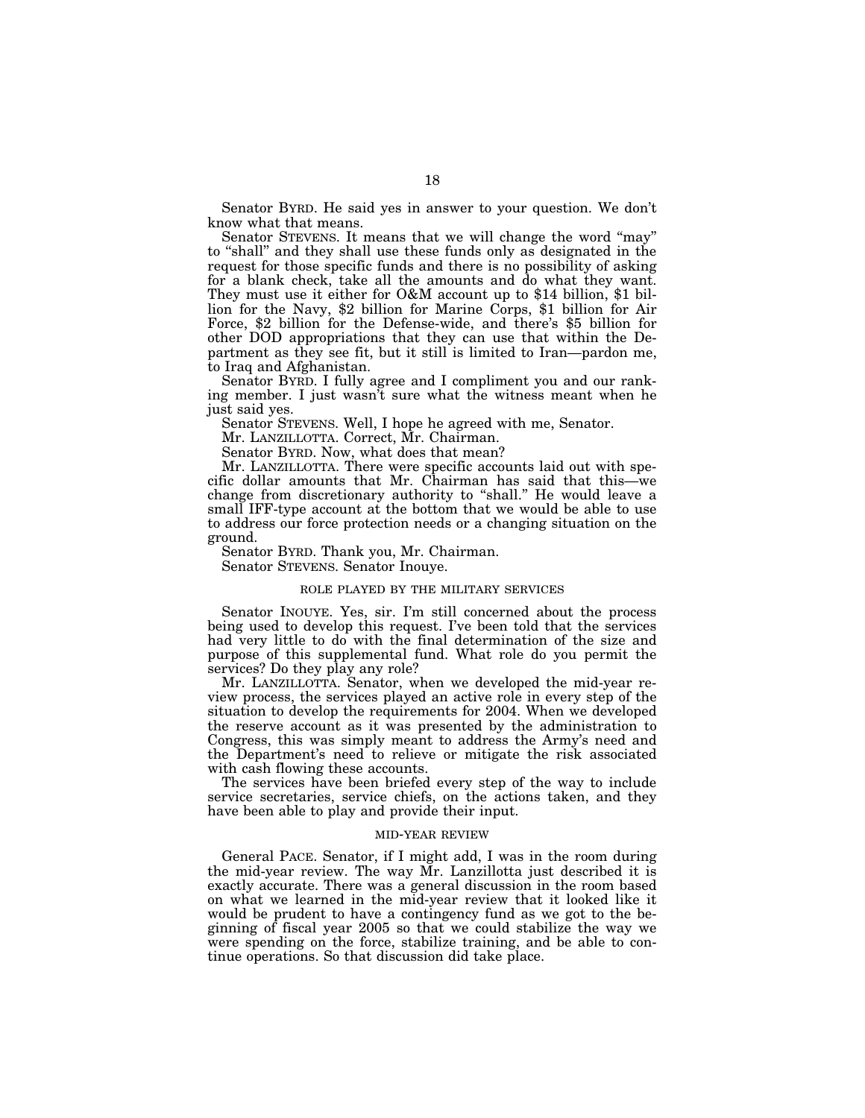Senator BYRD. He said yes in answer to your question. We don't know what that means.

Senator STEVENS. It means that we will change the word ''may'' to ''shall'' and they shall use these funds only as designated in the request for those specific funds and there is no possibility of asking for a blank check, take all the amounts and do what they want. They must use it either for O&M account up to \$14 billion, \$1 billion for the Navy, \$2 billion for Marine Corps, \$1 billion for Air Force, \$2 billion for the Defense-wide, and there's \$5 billion for other DOD appropriations that they can use that within the Department as they see fit, but it still is limited to Iran—pardon me, to Iraq and Afghanistan.

Senator BYRD. I fully agree and I compliment you and our ranking member. I just wasn't sure what the witness meant when he just said yes.

Senator STEVENS. Well, I hope he agreed with me, Senator.

Mr. LANZILLOTTA. Correct, Mr. Chairman.

Senator BYRD. Now, what does that mean?

Mr. LANZILLOTTA. There were specific accounts laid out with specific dollar amounts that Mr. Chairman has said that this—we change from discretionary authority to ''shall.'' He would leave a small IFF-type account at the bottom that we would be able to use to address our force protection needs or a changing situation on the ground.

Senator BYRD. Thank you, Mr. Chairman.

Senator STEVENS. Senator Inouye.

#### ROLE PLAYED BY THE MILITARY SERVICES

Senator INOUYE. Yes, sir. I'm still concerned about the process being used to develop this request. I've been told that the services had very little to do with the final determination of the size and purpose of this supplemental fund. What role do you permit the services? Do they play any role?

Mr. LANZILLOTTA. Senator, when we developed the mid-year review process, the services played an active role in every step of the situation to develop the requirements for 2004. When we developed the reserve account as it was presented by the administration to Congress, this was simply meant to address the Army's need and the Department's need to relieve or mitigate the risk associated with cash flowing these accounts.

The services have been briefed every step of the way to include service secretaries, service chiefs, on the actions taken, and they have been able to play and provide their input.

#### MID-YEAR REVIEW

General PACE. Senator, if I might add, I was in the room during the mid-year review. The way Mr. Lanzillotta just described it is exactly accurate. There was a general discussion in the room based on what we learned in the mid-year review that it looked like it would be prudent to have a contingency fund as we got to the beginning of fiscal year 2005 so that we could stabilize the way we were spending on the force, stabilize training, and be able to continue operations. So that discussion did take place.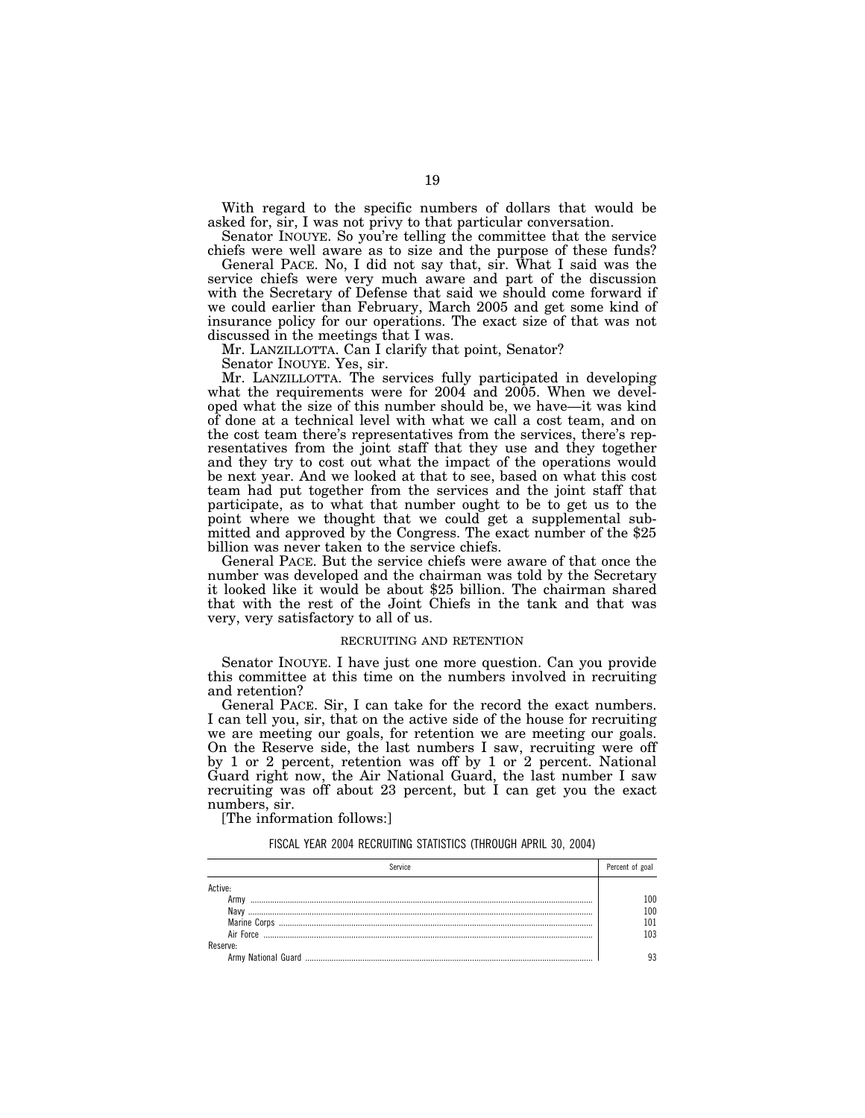With regard to the specific numbers of dollars that would be asked for, sir, I was not privy to that particular conversation.

Senator INOUYE. So you're telling the committee that the service chiefs were well aware as to size and the purpose of these funds?

General PACE. No, I did not say that, sir. What I said was the service chiefs were very much aware and part of the discussion with the Secretary of Defense that said we should come forward if we could earlier than February, March 2005 and get some kind of insurance policy for our operations. The exact size of that was not discussed in the meetings that I was.

Mr. LANZILLOTTA. Can I clarify that point, Senator?

Senator INOUYE. Yes, sir.

Mr. LANZILLOTTA. The services fully participated in developing what the requirements were for 2004 and 2005. When we developed what the size of this number should be, we have—it was kind of done at a technical level with what we call a cost team, and on the cost team there's representatives from the services, there's representatives from the joint staff that they use and they together and they try to cost out what the impact of the operations would be next year. And we looked at that to see, based on what this cost team had put together from the services and the joint staff that participate, as to what that number ought to be to get us to the point where we thought that we could get a supplemental submitted and approved by the Congress. The exact number of the \$25 billion was never taken to the service chiefs.

General PACE. But the service chiefs were aware of that once the number was developed and the chairman was told by the Secretary it looked like it would be about \$25 billion. The chairman shared that with the rest of the Joint Chiefs in the tank and that was very, very satisfactory to all of us.

#### RECRUITING AND RETENTION

Senator INOUYE. I have just one more question. Can you provide this committee at this time on the numbers involved in recruiting and retention?

General PACE. Sir, I can take for the record the exact numbers. I can tell you, sir, that on the active side of the house for recruiting we are meeting our goals, for retention we are meeting our goals. On the Reserve side, the last numbers I saw, recruiting were off by 1 or 2 percent, retention was off by 1 or 2 percent. National Guard right now, the Air National Guard, the last number I saw recruiting was off about 23 percent, but I can get you the exact numbers, sir.

[The information follows:]

FISCAL YEAR 2004 RECRUITING STATISTICS (THROUGH APRIL 30, 2004)

| Service             | Percent of goal |
|---------------------|-----------------|
|                     |                 |
|                     | -00             |
|                     | 0۵              |
| <b>Marine Corps</b> |                 |
| Air Force           | n3              |
|                     |                 |
|                     |                 |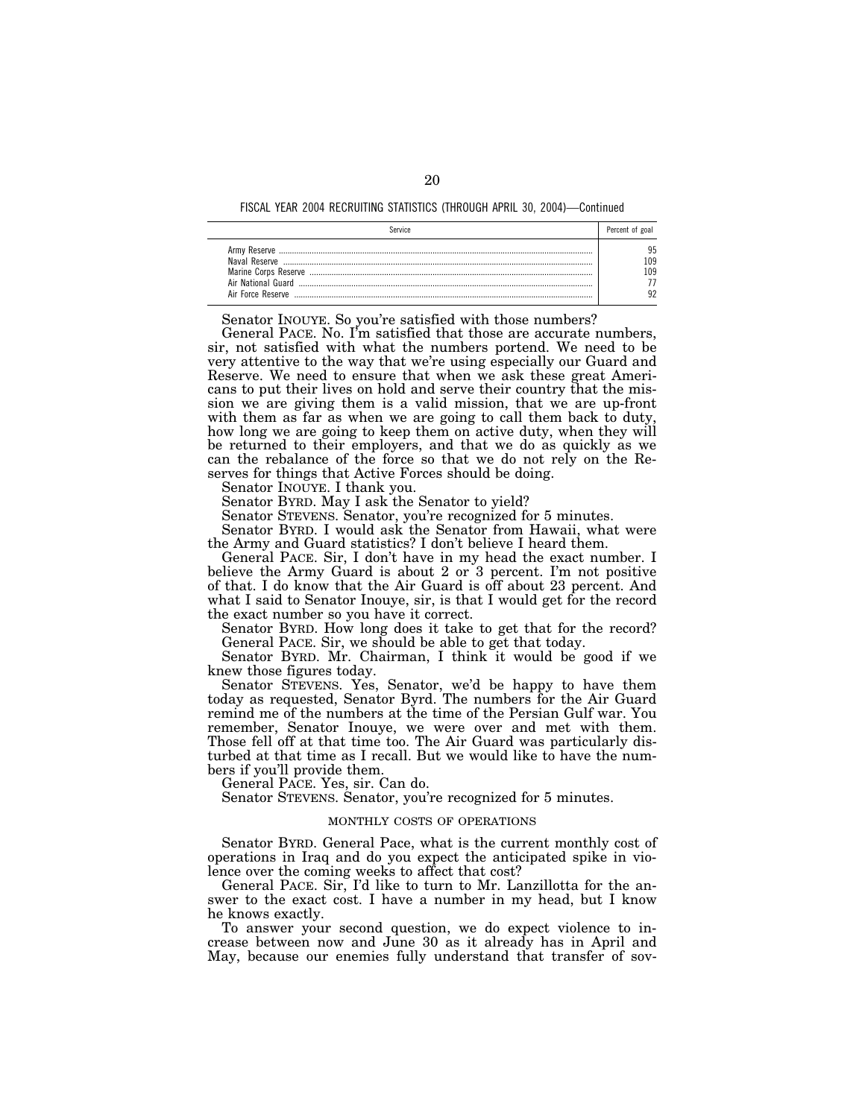FISCAL YEAR 2004 RECRUITING STATISTICS (THROUGH APRIL 30, 2004)—Continued

|                                                          | Percent of goal |
|----------------------------------------------------------|-----------------|
| Naval Reserve<br>Air National Guard<br>Air Force Reserve | ۵F<br>ng<br>ng  |

Senator INOUYE. So you're satisfied with those numbers?

General PACE. No. I'm satisfied that those are accurate numbers, sir, not satisfied with what the numbers portend. We need to be very attentive to the way that we're using especially our Guard and Reserve. We need to ensure that when we ask these great Americans to put their lives on hold and serve their country that the mission we are giving them is a valid mission, that we are up-front with them as far as when we are going to call them back to duty, how long we are going to keep them on active duty, when they will be returned to their employers, and that we do as quickly as we can the rebalance of the force so that we do not rely on the Reserves for things that Active Forces should be doing.

Senator INOUYE. I thank you.

Senator BYRD. May I ask the Senator to yield?

Senator STEVENS. Senator, you're recognized for 5 minutes.

Senator BYRD. I would ask the Senator from Hawaii, what were the Army and Guard statistics? I don't believe I heard them.

General PACE. Sir, I don't have in my head the exact number. I believe the Army Guard is about 2 or 3 percent. I'm not positive of that. I do know that the Air Guard is off about 23 percent. And what I said to Senator Inouye, sir, is that I would get for the record the exact number so you have it correct.

Senator BYRD. How long does it take to get that for the record? General PACE. Sir, we should be able to get that today.

Senator BYRD. Mr. Chairman, I think it would be good if we knew those figures today.

Senator STEVENS. Yes, Senator, we'd be happy to have them today as requested, Senator Byrd. The numbers for the Air Guard remind me of the numbers at the time of the Persian Gulf war. You remember, Senator Inouye, we were over and met with them. Those fell off at that time too. The Air Guard was particularly disturbed at that time as I recall. But we would like to have the numbers if you'll provide them.

General PACE. Yes, sir. Can do.

Senator STEVENS. Senator, you're recognized for 5 minutes.

#### MONTHLY COSTS OF OPERATIONS

Senator BYRD. General Pace, what is the current monthly cost of operations in Iraq and do you expect the anticipated spike in violence over the coming weeks to affect that cost?

General PACE. Sir, I'd like to turn to Mr. Lanzillotta for the answer to the exact cost. I have a number in my head, but I know he knows exactly.

To answer your second question, we do expect violence to increase between now and June 30 as it already has in April and May, because our enemies fully understand that transfer of sov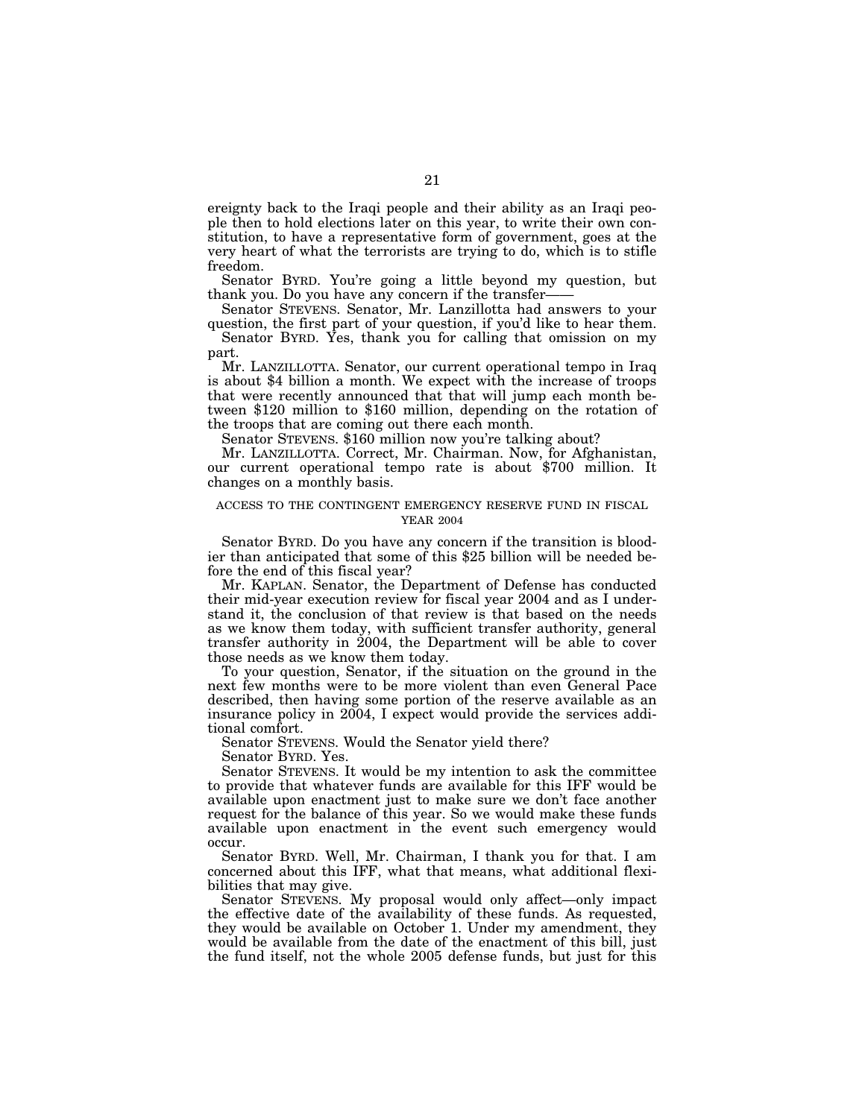ereignty back to the Iraqi people and their ability as an Iraqi people then to hold elections later on this year, to write their own constitution, to have a representative form of government, goes at the very heart of what the terrorists are trying to do, which is to stifle freedom.

Senator BYRD. You're going a little beyond my question, but thank you. Do you have any concern if the transfer——

Senator STEVENS. Senator, Mr. Lanzillotta had answers to your question, the first part of your question, if you'd like to hear them.

Senator BYRD. Yes, thank you for calling that omission on my part.

Mr. LANZILLOTTA. Senator, our current operational tempo in Iraq is about \$4 billion a month. We expect with the increase of troops that were recently announced that that will jump each month between \$120 million to \$160 million, depending on the rotation of the troops that are coming out there each month.

Senator STEVENS. \$160 million now you're talking about?

Mr. LANZILLOTTA. Correct, Mr. Chairman. Now, for Afghanistan, our current operational tempo rate is about \$700 million. It changes on a monthly basis.

#### ACCESS TO THE CONTINGENT EMERGENCY RESERVE FUND IN FISCAL YEAR 2004

Senator BYRD. Do you have any concern if the transition is bloodier than anticipated that some of this \$25 billion will be needed before the end of this fiscal year?

Mr. KAPLAN. Senator, the Department of Defense has conducted their mid-year execution review for fiscal year 2004 and as I understand it, the conclusion of that review is that based on the needs as we know them today, with sufficient transfer authority, general transfer authority in 2004, the Department will be able to cover those needs as we know them today.

To your question, Senator, if the situation on the ground in the next few months were to be more violent than even General Pace described, then having some portion of the reserve available as an insurance policy in 2004, I expect would provide the services additional comfort.

Senator STEVENS. Would the Senator yield there?

Senator BYRD. Yes.

Senator STEVENS. It would be my intention to ask the committee to provide that whatever funds are available for this IFF would be available upon enactment just to make sure we don't face another request for the balance of this year. So we would make these funds available upon enactment in the event such emergency would occur.

Senator BYRD. Well, Mr. Chairman, I thank you for that. I am concerned about this IFF, what that means, what additional flexibilities that may give.

Senator STEVENS. My proposal would only affect—only impact the effective date of the availability of these funds. As requested, they would be available on October 1. Under my amendment, they would be available from the date of the enactment of this bill, just the fund itself, not the whole 2005 defense funds, but just for this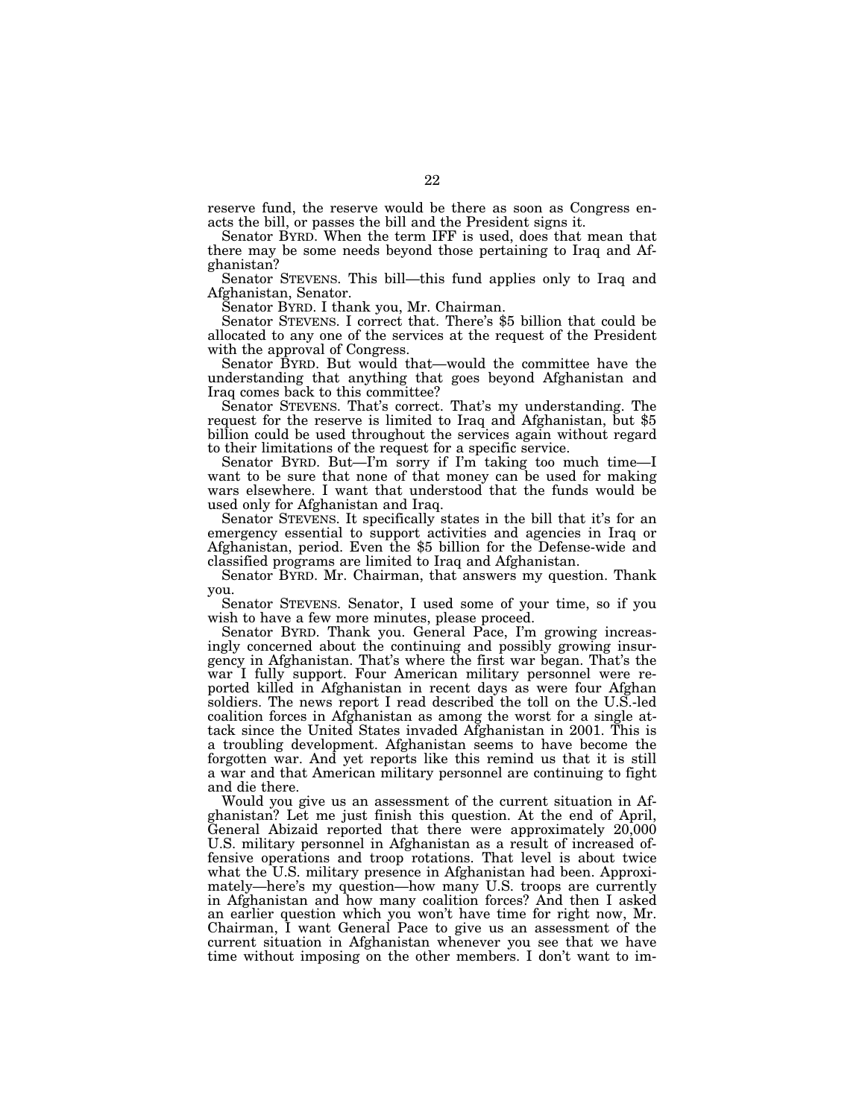reserve fund, the reserve would be there as soon as Congress enacts the bill, or passes the bill and the President signs it.

Senator BYRD. When the term IFF is used, does that mean that there may be some needs beyond those pertaining to Iraq and Afghanistan?

Senator STEVENS. This bill—this fund applies only to Iraq and Afghanistan, Senator.

Senator BYRD. I thank you, Mr. Chairman.

Senator STEVENS. I correct that. There's \$5 billion that could be allocated to any one of the services at the request of the President with the approval of Congress.

Senator BYRD. But would that—would the committee have the understanding that anything that goes beyond Afghanistan and Iraq comes back to this committee?

Senator STEVENS. That's correct. That's my understanding. The request for the reserve is limited to Iraq and Afghanistan, but \$5 billion could be used throughout the services again without regard to their limitations of the request for a specific service.

Senator BYRD. But—I'm sorry if I'm taking too much time—I want to be sure that none of that money can be used for making wars elsewhere. I want that understood that the funds would be used only for Afghanistan and Iraq.

Senator STEVENS. It specifically states in the bill that it's for an emergency essential to support activities and agencies in Iraq or Afghanistan, period. Even the \$5 billion for the Defense-wide and classified programs are limited to Iraq and Afghanistan.

Senator BYRD. Mr. Chairman, that answers my question. Thank you.

Senator STEVENS. Senator, I used some of your time, so if you wish to have a few more minutes, please proceed.

Senator BYRD. Thank you. General Pace, I'm growing increasingly concerned about the continuing and possibly growing insurgency in Afghanistan. That's where the first war began. That's the war I fully support. Four American military personnel were reported killed in Afghanistan in recent days as were four Afghan soldiers. The news report I read described the toll on the U.S.-led coalition forces in Afghanistan as among the worst for a single attack since the United States invaded Afghanistan in 2001. This is a troubling development. Afghanistan seems to have become the forgotten war. And yet reports like this remind us that it is still a war and that American military personnel are continuing to fight and die there.

Would you give us an assessment of the current situation in Afghanistan? Let me just finish this question. At the end of April, General Abizaid reported that there were approximately 20,000 U.S. military personnel in Afghanistan as a result of increased offensive operations and troop rotations. That level is about twice what the U.S. military presence in Afghanistan had been. Approximately—here's my question—how many U.S. troops are currently in Afghanistan and how many coalition forces? And then I asked an earlier question which you won't have time for right now, Mr. Chairman, I want General Pace to give us an assessment of the current situation in Afghanistan whenever you see that we have time without imposing on the other members. I don't want to im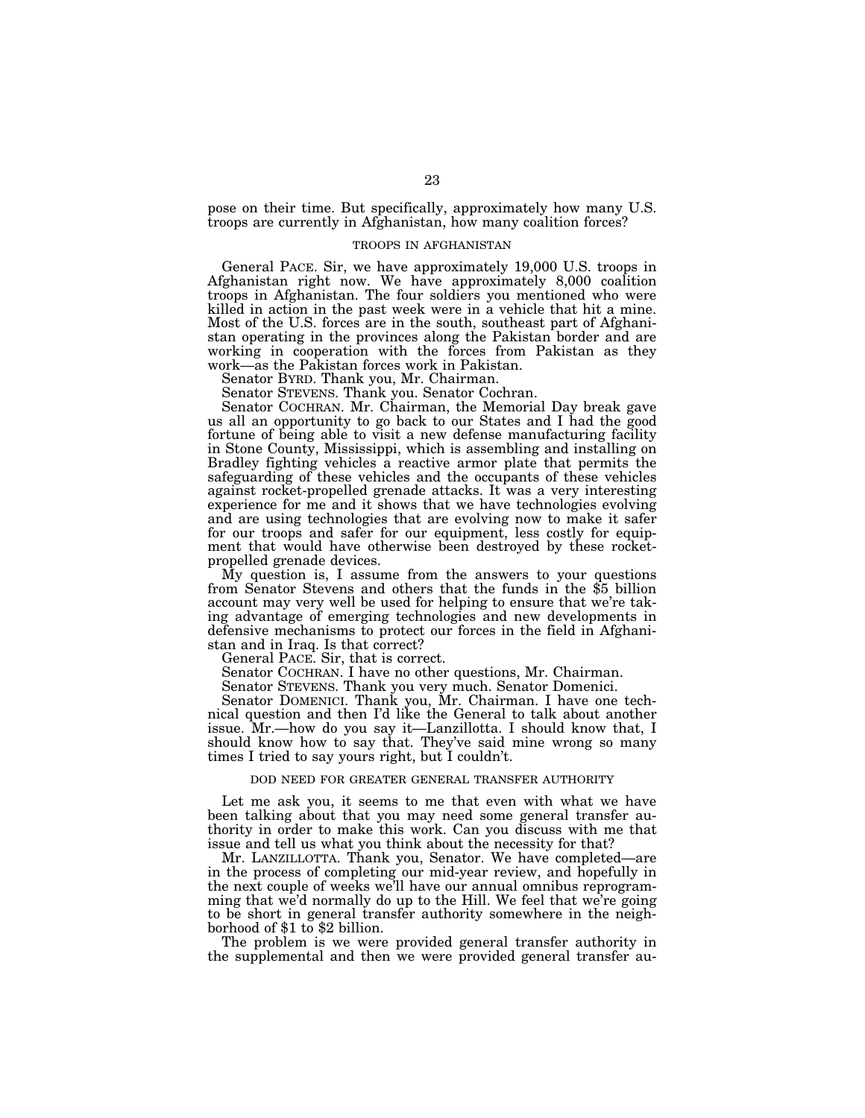pose on their time. But specifically, approximately how many U.S. troops are currently in Afghanistan, how many coalition forces?

#### TROOPS IN AFGHANISTAN

General PACE. Sir, we have approximately 19,000 U.S. troops in Afghanistan right now. We have approximately 8,000 coalition troops in Afghanistan. The four soldiers you mentioned who were killed in action in the past week were in a vehicle that hit a mine. Most of the U.S. forces are in the south, southeast part of Afghanistan operating in the provinces along the Pakistan border and are working in cooperation with the forces from Pakistan as they work—as the Pakistan forces work in Pakistan.

Senator BYRD. Thank you, Mr. Chairman.

Senator STEVENS. Thank you. Senator Cochran.

Senator COCHRAN. Mr. Chairman, the Memorial Day break gave us all an opportunity to go back to our States and I had the good fortune of being able to visit a new defense manufacturing facility in Stone County, Mississippi, which is assembling and installing on Bradley fighting vehicles a reactive armor plate that permits the safeguarding of these vehicles and the occupants of these vehicles against rocket-propelled grenade attacks. It was a very interesting experience for me and it shows that we have technologies evolving and are using technologies that are evolving now to make it safer for our troops and safer for our equipment, less costly for equipment that would have otherwise been destroyed by these rocket-

propelled grenade devices.<br>My question is, I assume from the answers to your questions from Senator Stevens and others that the funds in the \$5 billion account may very well be used for helping to ensure that we're taking advantage of emerging technologies and new developments in defensive mechanisms to protect our forces in the field in Afghanistan and in Iraq. Is that correct?

General PACE. Sir, that is correct.

Senator COCHRAN. I have no other questions, Mr. Chairman.

Senator STEVENS. Thank you very much. Senator Domenici.

Senator DOMENICI. Thank you, Mr. Chairman. I have one technical question and then I'd like the General to talk about another issue. Mr.—how do you say it—Lanzillotta. I should know that, I should know how to say that. They've said mine wrong so many times I tried to say yours right, but I couldn't.

#### DOD NEED FOR GREATER GENERAL TRANSFER AUTHORITY

Let me ask you, it seems to me that even with what we have been talking about that you may need some general transfer authority in order to make this work. Can you discuss with me that issue and tell us what you think about the necessity for that?

Mr. LANZILLOTTA. Thank you, Senator. We have completed—are in the process of completing our mid-year review, and hopefully in the next couple of weeks we'll have our annual omnibus reprogramming that we'd normally do up to the Hill. We feel that we're going to be short in general transfer authority somewhere in the neighborhood of \$1 to \$2 billion.

The problem is we were provided general transfer authority in the supplemental and then we were provided general transfer au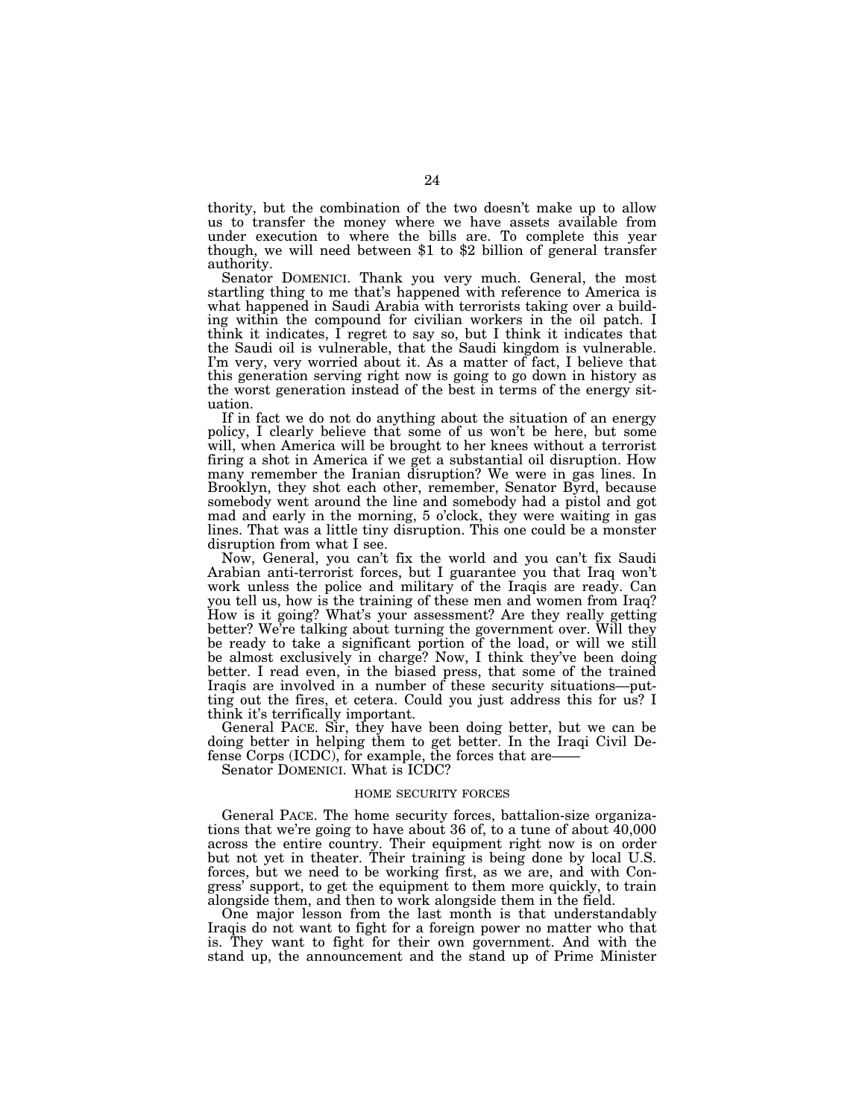thority, but the combination of the two doesn't make up to allow us to transfer the money where we have assets available from under execution to where the bills are. To complete this year though, we will need between \$1 to \$2 billion of general transfer authority.

Senator DOMENICI. Thank you very much. General, the most startling thing to me that's happened with reference to America is what happened in Saudi Arabia with terrorists taking over a building within the compound for civilian workers in the oil patch. I think it indicates, I regret to say so, but I think it indicates that the Saudi oil is vulnerable, that the Saudi kingdom is vulnerable. I'm very, very worried about it. As a matter of fact, I believe that this generation serving right now is going to go down in history as the worst generation instead of the best in terms of the energy situation.

If in fact we do not do anything about the situation of an energy policy, I clearly believe that some of us won't be here, but some will, when America will be brought to her knees without a terrorist firing a shot in America if we get a substantial oil disruption. How many remember the Iranian disruption? We were in gas lines. In Brooklyn, they shot each other, remember, Senator Byrd, because somebody went around the line and somebody had a pistol and got mad and early in the morning, 5 o'clock, they were waiting in gas lines. That was a little tiny disruption. This one could be a monster disruption from what I see.

Now, General, you can't fix the world and you can't fix Saudi Arabian anti-terrorist forces, but I guarantee you that Iraq won't work unless the police and military of the Iraqis are ready. Can you tell us, how is the training of these men and women from Iraq? How is it going? What's your assessment? Are they really getting better? We're talking about turning the government over. Will they be ready to take a significant portion of the load, or will we still be almost exclusively in charge? Now, I think they've been doing better. I read even, in the biased press, that some of the trained Iraqis are involved in a number of these security situations—putting out the fires, et cetera. Could you just address this for us? I think it's terrifically important.

General PACE. Sir, they have been doing better, but we can be doing better in helping them to get better. In the Iraqi Civil Defense Corps (ICDC), for example, the forces that are-

Senator DOMENICI. What is ICDC?

#### HOME SECURITY FORCES

General PACE. The home security forces, battalion-size organizations that we're going to have about 36 of, to a tune of about 40,000 across the entire country. Their equipment right now is on order but not yet in theater. Their training is being done by local U.S. forces, but we need to be working first, as we are, and with Congress' support, to get the equipment to them more quickly, to train alongside them, and then to work alongside them in the field.

One major lesson from the last month is that understandably Iraqis do not want to fight for a foreign power no matter who that is. They want to fight for their own government. And with the stand up, the announcement and the stand up of Prime Minister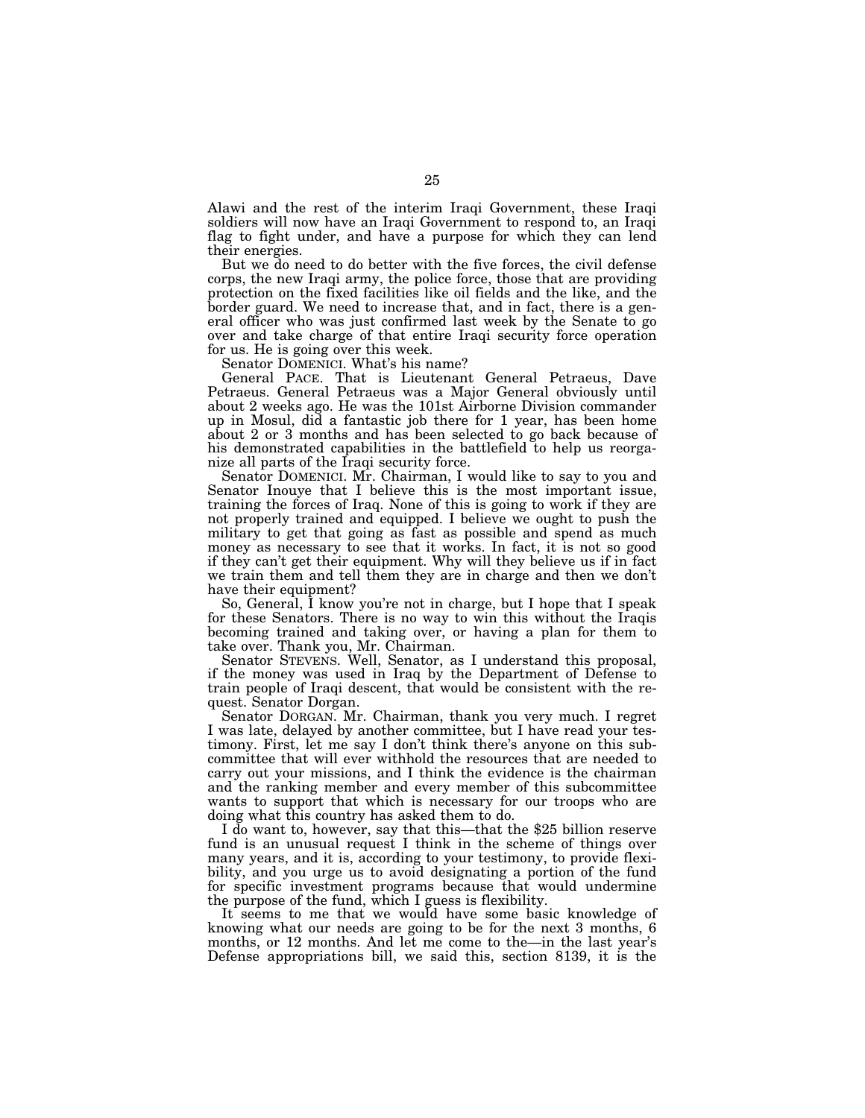Alawi and the rest of the interim Iraqi Government, these Iraqi soldiers will now have an Iraqi Government to respond to, an Iraqi flag to fight under, and have a purpose for which they can lend their energies.

But we do need to do better with the five forces, the civil defense corps, the new Iraqi army, the police force, those that are providing protection on the fixed facilities like oil fields and the like, and the border guard. We need to increase that, and in fact, there is a general officer who was just confirmed last week by the Senate to go over and take charge of that entire Iraqi security force operation for us. He is going over this week.

Senator DOMENICI. What's his name?

General PACE. That is Lieutenant General Petraeus, Dave Petraeus. General Petraeus was a Major General obviously until about 2 weeks ago. He was the 101st Airborne Division commander up in Mosul, did a fantastic job there for 1 year, has been home about 2 or 3 months and has been selected to go back because of his demonstrated capabilities in the battlefield to help us reorganize all parts of the Iraqi security force.

Senator DOMENICI. Mr. Chairman, I would like to say to you and Senator Inouye that I believe this is the most important issue, training the forces of Iraq. None of this is going to work if they are not properly trained and equipped. I believe we ought to push the military to get that going as fast as possible and spend as much money as necessary to see that it works. In fact, it is not so good if they can't get their equipment. Why will they believe us if in fact we train them and tell them they are in charge and then we don't have their equipment?

So, General, I know you're not in charge, but I hope that I speak for these Senators. There is no way to win this without the Iraqis becoming trained and taking over, or having a plan for them to take over. Thank you, Mr. Chairman.

Senator STEVENS. Well, Senator, as I understand this proposal, if the money was used in Iraq by the Department of Defense to train people of Iraqi descent, that would be consistent with the request. Senator Dorgan.

Senator DORGAN. Mr. Chairman, thank you very much. I regret I was late, delayed by another committee, but I have read your testimony. First, let me say I don't think there's anyone on this subcommittee that will ever withhold the resources that are needed to carry out your missions, and I think the evidence is the chairman and the ranking member and every member of this subcommittee wants to support that which is necessary for our troops who are doing what this country has asked them to do.

I do want to, however, say that this—that the \$25 billion reserve fund is an unusual request I think in the scheme of things over many years, and it is, according to your testimony, to provide flexibility, and you urge us to avoid designating a portion of the fund for specific investment programs because that would undermine the purpose of the fund, which I guess is flexibility.

It seems to me that we would have some basic knowledge of knowing what our needs are going to be for the next 3 months, 6 months, or 12 months. And let me come to the—in the last year's Defense appropriations bill, we said this, section 8139, it is the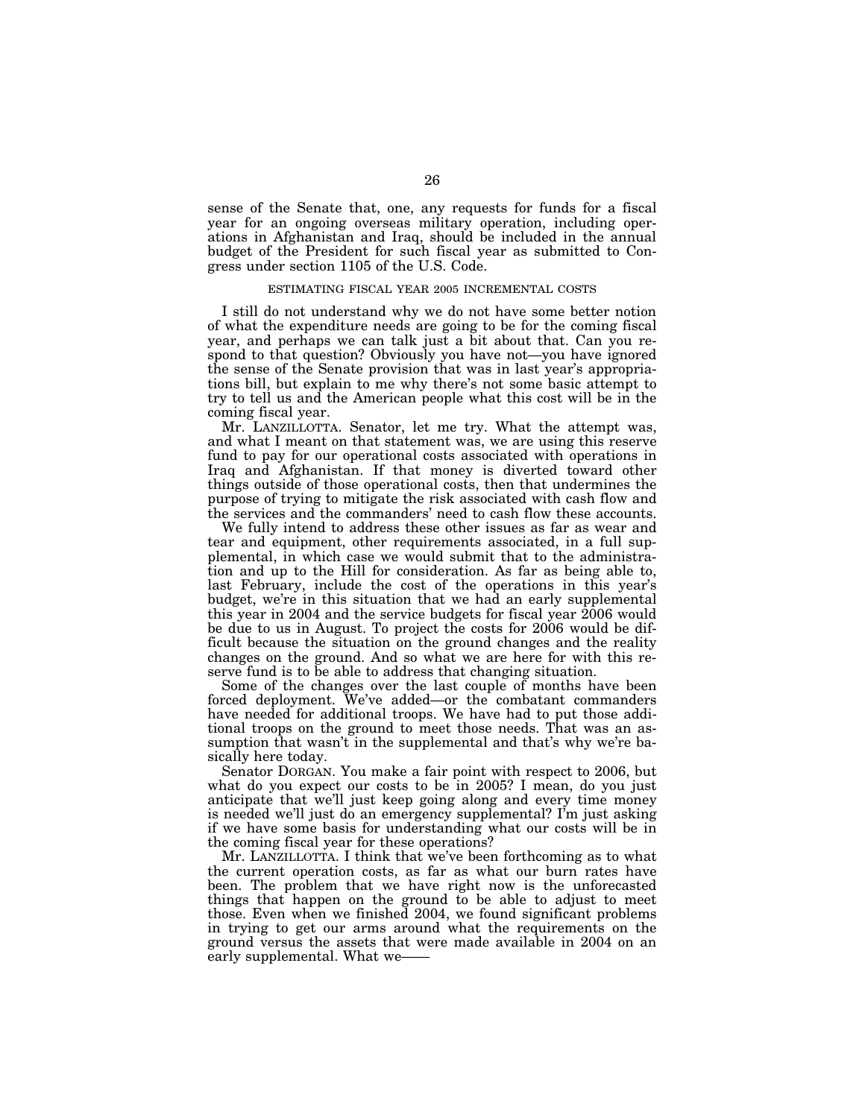sense of the Senate that, one, any requests for funds for a fiscal year for an ongoing overseas military operation, including operations in Afghanistan and Iraq, should be included in the annual budget of the President for such fiscal year as submitted to Congress under section 1105 of the U.S. Code.

#### ESTIMATING FISCAL YEAR 2005 INCREMENTAL COSTS

I still do not understand why we do not have some better notion of what the expenditure needs are going to be for the coming fiscal year, and perhaps we can talk just a bit about that. Can you respond to that question? Obviously you have not—you have ignored the sense of the Senate provision that was in last year's appropriations bill, but explain to me why there's not some basic attempt to try to tell us and the American people what this cost will be in the coming fiscal year.

Mr. LANZILLOTTA. Senator, let me try. What the attempt was, and what I meant on that statement was, we are using this reserve fund to pay for our operational costs associated with operations in Iraq and Afghanistan. If that money is diverted toward other things outside of those operational costs, then that undermines the purpose of trying to mitigate the risk associated with cash flow and the services and the commanders' need to cash flow these accounts.

We fully intend to address these other issues as far as wear and tear and equipment, other requirements associated, in a full supplemental, in which case we would submit that to the administration and up to the Hill for consideration. As far as being able to, last February, include the cost of the operations in this year's budget, we're in this situation that we had an early supplemental this year in 2004 and the service budgets for fiscal year 2006 would be due to us in August. To project the costs for 2006 would be difficult because the situation on the ground changes and the reality changes on the ground. And so what we are here for with this reserve fund is to be able to address that changing situation.

Some of the changes over the last couple of months have been forced deployment. We've added—or the combatant commanders have needed for additional troops. We have had to put those additional troops on the ground to meet those needs. That was an assumption that wasn't in the supplemental and that's why we're basically here today.

Senator DORGAN. You make a fair point with respect to 2006, but what do you expect our costs to be in 2005? I mean, do you just anticipate that we'll just keep going along and every time money is needed we'll just do an emergency supplemental? I'm just asking if we have some basis for understanding what our costs will be in the coming fiscal year for these operations?

Mr. LANZILLOTTA. I think that we've been forthcoming as to what the current operation costs, as far as what our burn rates have been. The problem that we have right now is the unforecasted things that happen on the ground to be able to adjust to meet those. Even when we finished 2004, we found significant problems in trying to get our arms around what the requirements on the ground versus the assets that were made available in 2004 on an early supplemental. What we-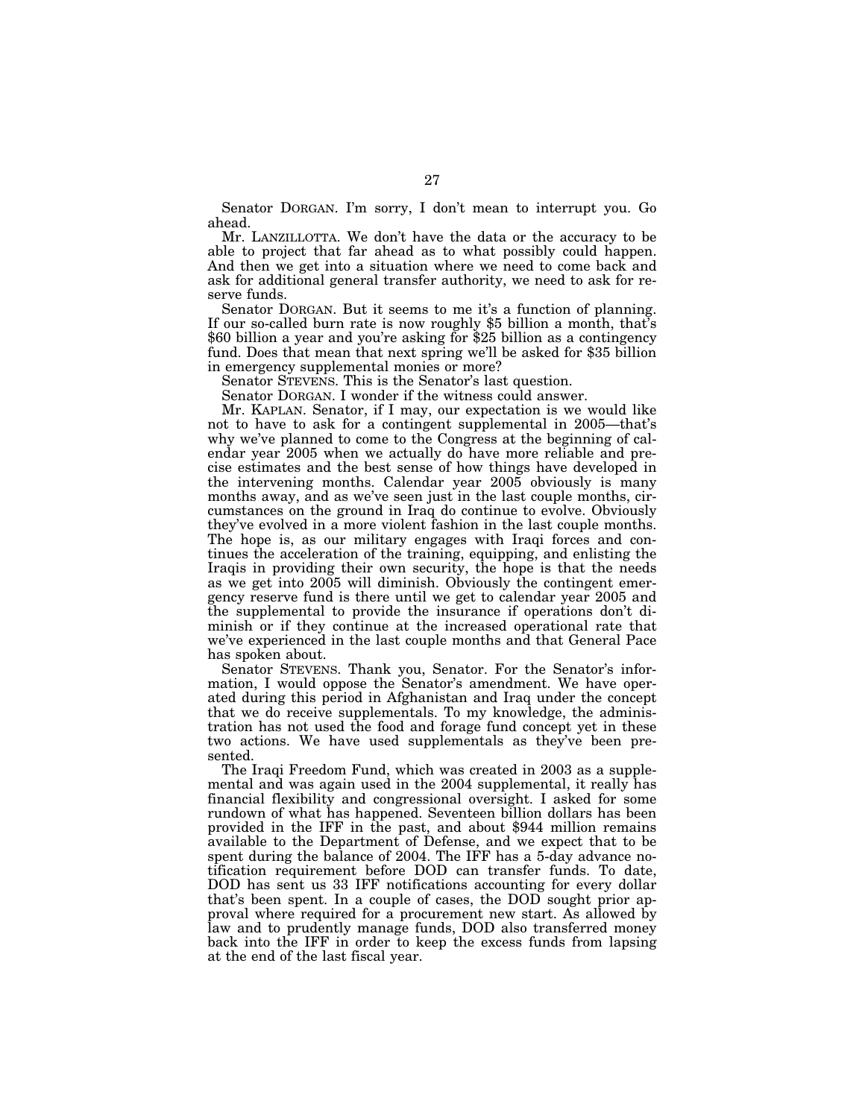Senator DORGAN. I'm sorry, I don't mean to interrupt you. Go ahead.

Mr. LANZILLOTTA. We don't have the data or the accuracy to be able to project that far ahead as to what possibly could happen. And then we get into a situation where we need to come back and ask for additional general transfer authority, we need to ask for reserve funds.

Senator DORGAN. But it seems to me it's a function of planning. If our so-called burn rate is now roughly \$5 billion a month, that's \$60 billion a year and you're asking for \$25 billion as a contingency fund. Does that mean that next spring we'll be asked for \$35 billion in emergency supplemental monies or more?

Senator STEVENS. This is the Senator's last question.

Senator DORGAN. I wonder if the witness could answer.

Mr. KAPLAN. Senator, if I may, our expectation is we would like not to have to ask for a contingent supplemental in 2005—that's why we've planned to come to the Congress at the beginning of calendar year 2005 when we actually do have more reliable and precise estimates and the best sense of how things have developed in the intervening months. Calendar year 2005 obviously is many months away, and as we've seen just in the last couple months, circumstances on the ground in Iraq do continue to evolve. Obviously they've evolved in a more violent fashion in the last couple months. The hope is, as our military engages with Iraqi forces and continues the acceleration of the training, equipping, and enlisting the Iraqis in providing their own security, the hope is that the needs as we get into 2005 will diminish. Obviously the contingent emergency reserve fund is there until we get to calendar year 2005 and the supplemental to provide the insurance if operations don't diminish or if they continue at the increased operational rate that we've experienced in the last couple months and that General Pace has spoken about.

Senator STEVENS. Thank you, Senator. For the Senator's information, I would oppose the Senator's amendment. We have operated during this period in Afghanistan and Iraq under the concept that we do receive supplementals. To my knowledge, the administration has not used the food and forage fund concept yet in these two actions. We have used supplementals as they've been presented.

The Iraqi Freedom Fund, which was created in 2003 as a supplemental and was again used in the 2004 supplemental, it really has financial flexibility and congressional oversight. I asked for some rundown of what has happened. Seventeen billion dollars has been provided in the IFF in the past, and about \$944 million remains available to the Department of Defense, and we expect that to be spent during the balance of 2004. The IFF has a 5-day advance notification requirement before DOD can transfer funds. To date, DOD has sent us 33 IFF notifications accounting for every dollar that's been spent. In a couple of cases, the DOD sought prior approval where required for a procurement new start. As allowed by law and to prudently manage funds, DOD also transferred money back into the IFF in order to keep the excess funds from lapsing at the end of the last fiscal year.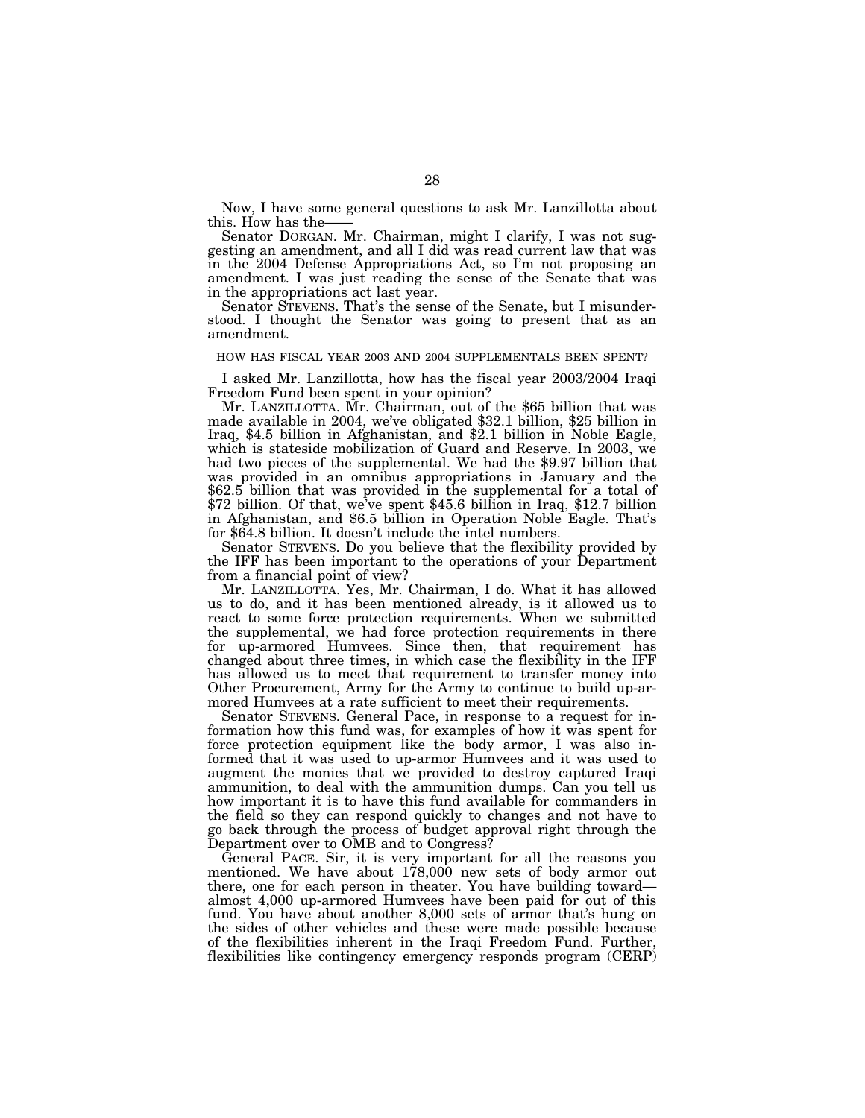Now, I have some general questions to ask Mr. Lanzillotta about this. How has the-

Senator DORGAN. Mr. Chairman, might I clarify, I was not suggesting an amendment, and all I did was read current law that was in the 2004 Defense Appropriations Act, so I'm not proposing an amendment. I was just reading the sense of the Senate that was in the appropriations act last year.

Senator STEVENS. That's the sense of the Senate, but I misunderstood. I thought the Senator was going to present that as an amendment.

#### HOW HAS FISCAL YEAR 2003 AND 2004 SUPPLEMENTALS BEEN SPENT?

I asked Mr. Lanzillotta, how has the fiscal year 2003/2004 Iraqi Freedom Fund been spent in your opinion?

Mr. LANZILLOTTA. Mr. Chairman, out of the \$65 billion that was made available in 2004, we've obligated \$32.1 billion, \$25 billion in Iraq, \$4.5 billion in Afghanistan, and \$2.1 billion in Noble Eagle, which is stateside mobilization of Guard and Reserve. In 2003, we had two pieces of the supplemental. We had the \$9.97 billion that was provided in an omnibus appropriations in January and the \$62.5 billion that was provided in the supplemental for a total of  $$72$  billion. Of that, we've spent \$45.6 billion in Iraq, \$12.7 billion in Afghanistan, and \$6.5 billion in Operation Noble Eagle. That's for \$64.8 billion. It doesn't include the intel numbers.

Senator STEVENS. Do you believe that the flexibility provided by the IFF has been important to the operations of your Department from a financial point of view?

Mr. LANZILLOTTA. Yes, Mr. Chairman, I do. What it has allowed us to do, and it has been mentioned already, is it allowed us to react to some force protection requirements. When we submitted the supplemental, we had force protection requirements in there for up-armored Humvees. Since then, that requirement has changed about three times, in which case the flexibility in the IFF has allowed us to meet that requirement to transfer money into Other Procurement, Army for the Army to continue to build up-armored Humvees at a rate sufficient to meet their requirements.

Senator STEVENS. General Pace, in response to a request for information how this fund was, for examples of how it was spent for force protection equipment like the body armor, I was also informed that it was used to up-armor Humvees and it was used to augment the monies that we provided to destroy captured Iraqi ammunition, to deal with the ammunition dumps. Can you tell us how important it is to have this fund available for commanders in the field so they can respond quickly to changes and not have to go back through the process of budget approval right through the Department over to OMB and to Congress?

General PACE. Sir, it is very important for all the reasons you mentioned. We have about 178,000 new sets of body armor out there, one for each person in theater. You have building toward almost 4,000 up-armored Humvees have been paid for out of this fund. You have about another 8,000 sets of armor that's hung on the sides of other vehicles and these were made possible because of the flexibilities inherent in the Iraqi Freedom Fund. Further, flexibilities like contingency emergency responds program (CERP)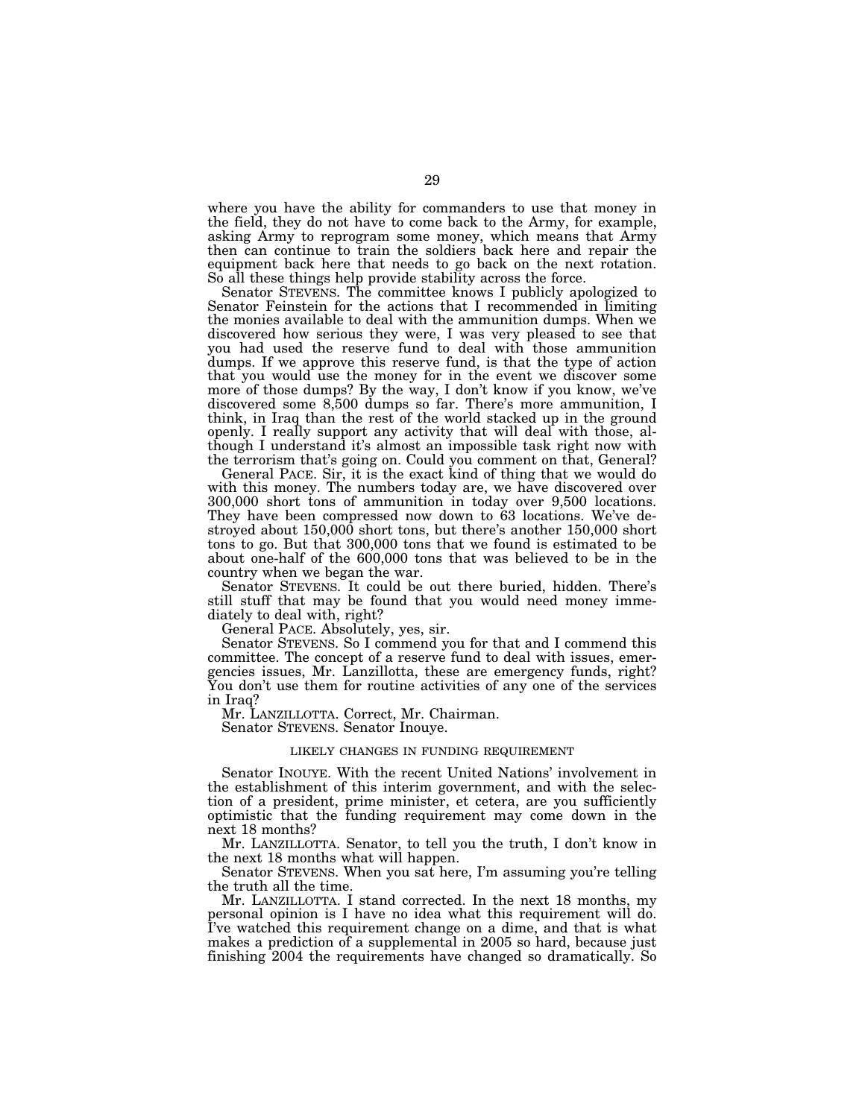where you have the ability for commanders to use that money in the field, they do not have to come back to the Army, for example, asking Army to reprogram some money, which means that Army then can continue to train the soldiers back here and repair the equipment back here that needs to go back on the next rotation. So all these things help provide stability across the force.

Senator STEVENS. The committee knows I publicly apologized to Senator Feinstein for the actions that I recommended in limiting the monies available to deal with the ammunition dumps. When we discovered how serious they were, I was very pleased to see that you had used the reserve fund to deal with those ammunition dumps. If we approve this reserve fund, is that the type of action that you would use the money for in the event we discover some more of those dumps? By the way, I don't know if you know, we've discovered some 8,500 dumps so far. There's more ammunition, I think, in Iraq than the rest of the world stacked up in the ground openly. I really support any activity that will deal with those, although I understand it's almost an impossible task right now with the terrorism that's going on. Could you comment on that, General?

General PACE. Sir, it is the exact kind of thing that we would do with this money. The numbers today are, we have discovered over 300,000 short tons of ammunition in today over 9,500 locations. They have been compressed now down to 63 locations. We've destroyed about 150,000 short tons, but there's another 150,000 short tons to go. But that 300,000 tons that we found is estimated to be about one-half of the 600,000 tons that was believed to be in the country when we began the war.

Senator STEVENS. It could be out there buried, hidden. There's still stuff that may be found that you would need money immediately to deal with, right?

General PACE. Absolutely, yes, sir.

Senator STEVENS. So I commend you for that and I commend this committee. The concept of a reserve fund to deal with issues, emergencies issues, Mr. Lanzillotta, these are emergency funds, right? You don't use them for routine activities of any one of the services in Iraq?

Mr. LANZILLOTTA. Correct, Mr. Chairman. Senator STEVENS. Senator Inouye.

#### LIKELY CHANGES IN FUNDING REQUIREMENT

Senator INOUYE. With the recent United Nations' involvement in the establishment of this interim government, and with the selection of a president, prime minister, et cetera, are you sufficiently optimistic that the funding requirement may come down in the next 18 months?

Mr. LANZILLOTTA. Senator, to tell you the truth, I don't know in the next 18 months what will happen.

Senator STEVENS. When you sat here, I'm assuming you're telling the truth all the time.

Mr. LANZILLOTTA. I stand corrected. In the next 18 months, my personal opinion is I have no idea what this requirement will do. I've watched this requirement change on a dime, and that is what makes a prediction of a supplemental in 2005 so hard, because just finishing 2004 the requirements have changed so dramatically. So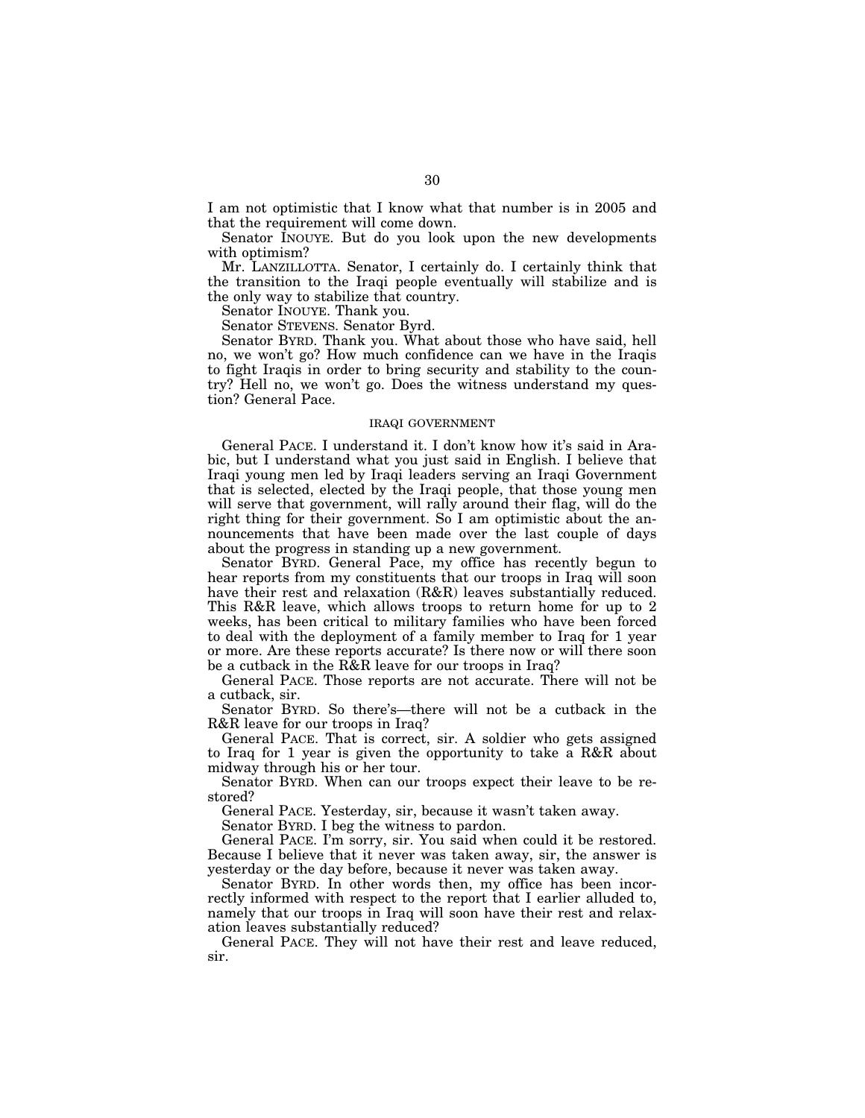I am not optimistic that I know what that number is in 2005 and that the requirement will come down.

Senator INOUYE. But do you look upon the new developments with optimism?

Mr. LANZILLOTTA. Senator, I certainly do. I certainly think that the transition to the Iraqi people eventually will stabilize and is the only way to stabilize that country.

Senator INOUYE. Thank you.

Senator STEVENS. Senator Byrd.

Senator BYRD. Thank you. What about those who have said, hell no, we won't go? How much confidence can we have in the Iraqis to fight Iraqis in order to bring security and stability to the country? Hell no, we won't go. Does the witness understand my question? General Pace.

#### IRAQI GOVERNMENT

General PACE. I understand it. I don't know how it's said in Arabic, but I understand what you just said in English. I believe that Iraqi young men led by Iraqi leaders serving an Iraqi Government that is selected, elected by the Iraqi people, that those young men will serve that government, will rally around their flag, will do the right thing for their government. So I am optimistic about the announcements that have been made over the last couple of days about the progress in standing up a new government.

Senator BYRD. General Pace, my office has recently begun to hear reports from my constituents that our troops in Iraq will soon have their rest and relaxation (R&R) leaves substantially reduced. This R&R leave, which allows troops to return home for up to 2 weeks, has been critical to military families who have been forced to deal with the deployment of a family member to Iraq for 1 year or more. Are these reports accurate? Is there now or will there soon be a cutback in the R&R leave for our troops in Iraq?

General PACE. Those reports are not accurate. There will not be a cutback, sir.

Senator BYRD. So there's—there will not be a cutback in the R&R leave for our troops in Iraq?

General PACE. That is correct, sir. A soldier who gets assigned to Iraq for 1 year is given the opportunity to take a R&R about midway through his or her tour.

Senator BYRD. When can our troops expect their leave to be restored?

General PACE. Yesterday, sir, because it wasn't taken away.

Senator BYRD. I beg the witness to pardon.

General PACE. I'm sorry, sir. You said when could it be restored. Because I believe that it never was taken away, sir, the answer is yesterday or the day before, because it never was taken away.

Senator BYRD. In other words then, my office has been incorrectly informed with respect to the report that I earlier alluded to, namely that our troops in Iraq will soon have their rest and relaxation leaves substantially reduced?

General PACE. They will not have their rest and leave reduced, sir.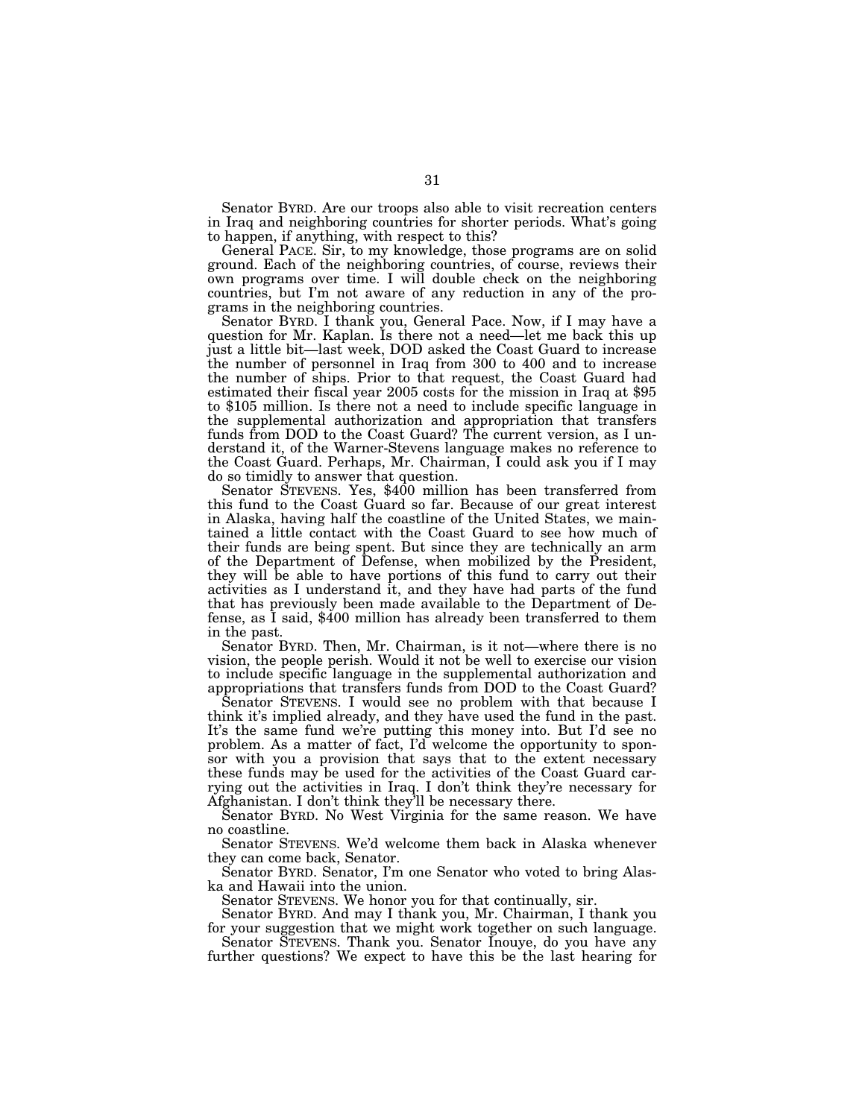Senator BYRD. Are our troops also able to visit recreation centers in Iraq and neighboring countries for shorter periods. What's going to happen, if anything, with respect to this?

General PACE. Sir, to my knowledge, those programs are on solid ground. Each of the neighboring countries, of course, reviews their own programs over time. I will double check on the neighboring countries, but I'm not aware of any reduction in any of the programs in the neighboring countries.

Senator BYRD. I thank you, General Pace. Now, if I may have a question for Mr. Kaplan. Is there not a need—let me back this up just a little bit—last week, DOD asked the Coast Guard to increase the number of personnel in Iraq from 300 to 400 and to increase the number of ships. Prior to that request, the Coast Guard had estimated their fiscal year 2005 costs for the mission in Iraq at \$95 to \$105 million. Is there not a need to include specific language in the supplemental authorization and appropriation that transfers funds from DOD to the Coast Guard? The current version, as I understand it, of the Warner-Stevens language makes no reference to the Coast Guard. Perhaps, Mr. Chairman, I could ask you if I may do so timidly to answer that question.

Senator STEVENS. Yes, \$400 million has been transferred from this fund to the Coast Guard so far. Because of our great interest in Alaska, having half the coastline of the United States, we maintained a little contact with the Coast Guard to see how much of their funds are being spent. But since they are technically an arm of the Department of Defense, when mobilized by the President, they will be able to have portions of this fund to carry out their activities as I understand it, and they have had parts of the fund that has previously been made available to the Department of Defense, as I said, \$400 million has already been transferred to them in the past.

Senator BYRD. Then, Mr. Chairman, is it not—where there is no vision, the people perish. Would it not be well to exercise our vision to include specific language in the supplemental authorization and appropriations that transfers funds from DOD to the Coast Guard?

Senator STEVENS. I would see no problem with that because I think it's implied already, and they have used the fund in the past. It's the same fund we're putting this money into. But I'd see no problem. As a matter of fact, I'd welcome the opportunity to sponsor with you a provision that says that to the extent necessary these funds may be used for the activities of the Coast Guard carrying out the activities in Iraq. I don't think they're necessary for Afghanistan. I don't think they'll be necessary there.

Senator BYRD. No West Virginia for the same reason. We have no coastline.

Senator STEVENS. We'd welcome them back in Alaska whenever they can come back, Senator.

Senator BYRD. Senator, I'm one Senator who voted to bring Alaska and Hawaii into the union.

Senator STEVENS. We honor you for that continually, sir.

Senator BYRD. And may I thank you, Mr. Chairman, I thank you for your suggestion that we might work together on such language.

Senator STEVENS. Thank you. Senator Inouye, do you have any further questions? We expect to have this be the last hearing for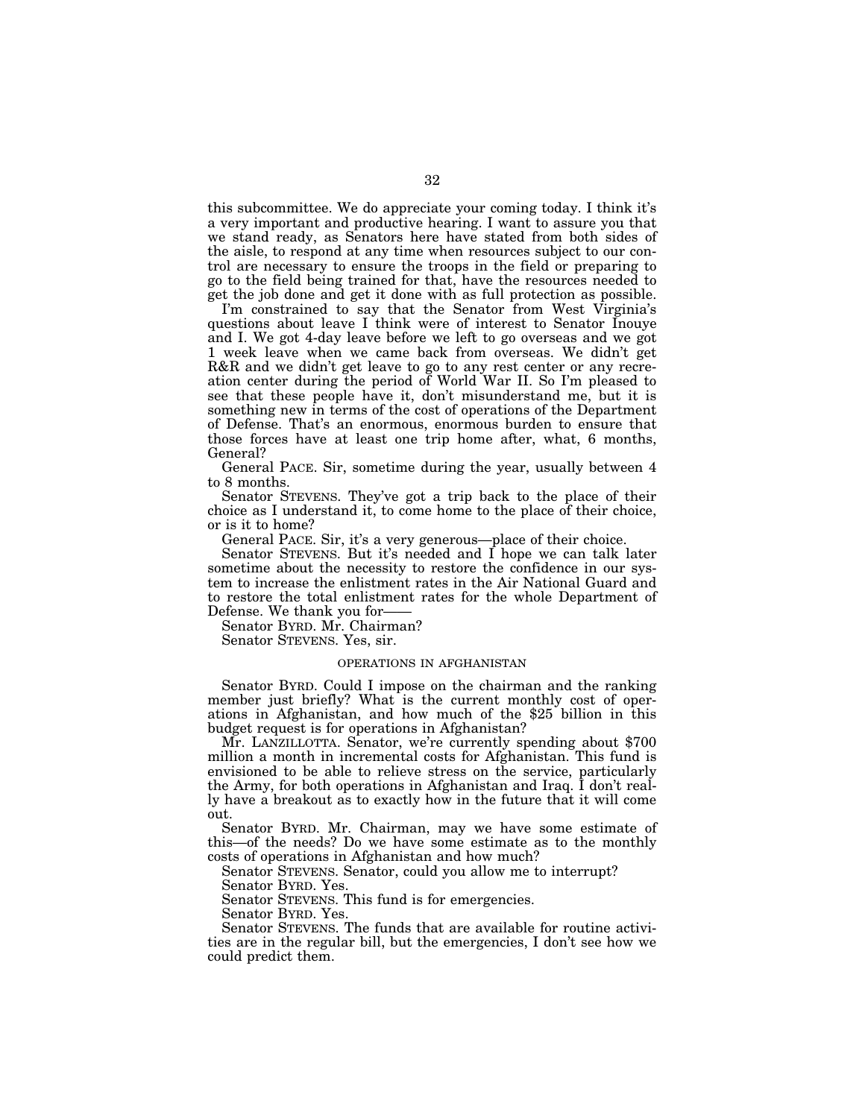this subcommittee. We do appreciate your coming today. I think it's a very important and productive hearing. I want to assure you that we stand ready, as Senators here have stated from both sides of the aisle, to respond at any time when resources subject to our control are necessary to ensure the troops in the field or preparing to go to the field being trained for that, have the resources needed to get the job done and get it done with as full protection as possible.

I'm constrained to say that the Senator from West Virginia's questions about leave I think were of interest to Senator Inouye and I. We got 4-day leave before we left to go overseas and we got 1 week leave when we came back from overseas. We didn't get R&R and we didn't get leave to go to any rest center or any recreation center during the period of World War II. So I'm pleased to see that these people have it, don't misunderstand me, but it is something new in terms of the cost of operations of the Department of Defense. That's an enormous, enormous burden to ensure that those forces have at least one trip home after, what, 6 months, General?

General PACE. Sir, sometime during the year, usually between 4 to 8 months.

Senator STEVENS. They've got a trip back to the place of their choice as I understand it, to come home to the place of their choice, or is it to home?

General PACE. Sir, it's a very generous—place of their choice.

Senator STEVENS. But it's needed and I hope we can talk later sometime about the necessity to restore the confidence in our system to increase the enlistment rates in the Air National Guard and to restore the total enlistment rates for the whole Department of Defense. We thank you for-

Senator BYRD. Mr. Chairman?

Senator STEVENS. Yes, sir.

#### OPERATIONS IN AFGHANISTAN

Senator BYRD. Could I impose on the chairman and the ranking member just briefly? What is the current monthly cost of operations in Afghanistan, and how much of the \$25 billion in this budget request is for operations in Afghanistan?

Mr. LANZILLOTTA. Senator, we're currently spending about \$700 million a month in incremental costs for Afghanistan. This fund is envisioned to be able to relieve stress on the service, particularly the Army, for both operations in Afghanistan and Iraq. I don't really have a breakout as to exactly how in the future that it will come out.

Senator BYRD. Mr. Chairman, may we have some estimate of this—of the needs? Do we have some estimate as to the monthly costs of operations in Afghanistan and how much?

Senator STEVENS. Senator, could you allow me to interrupt?

Senator BYRD. Yes.

Senator STEVENS. This fund is for emergencies.

Senator BYRD. Yes.

Senator STEVENS. The funds that are available for routine activities are in the regular bill, but the emergencies, I don't see how we could predict them.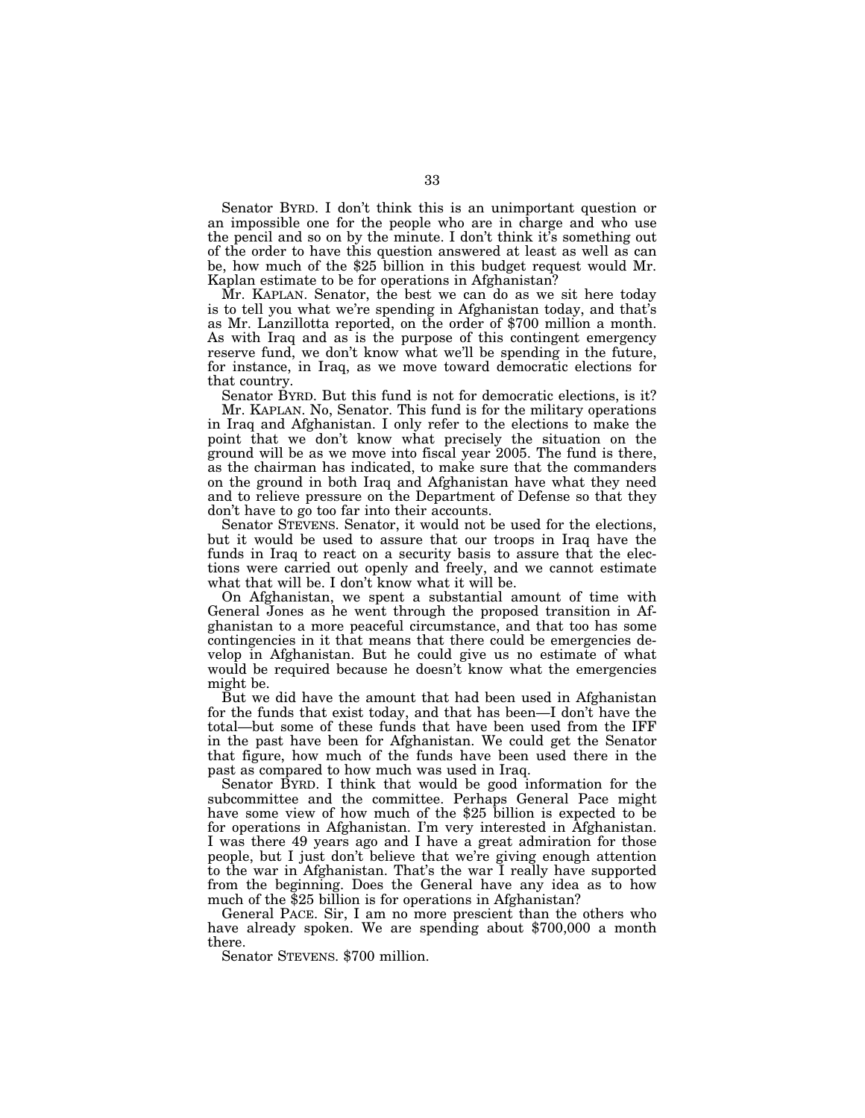Senator BYRD. I don't think this is an unimportant question or an impossible one for the people who are in charge and who use the pencil and so on by the minute. I don't think it's something out of the order to have this question answered at least as well as can be, how much of the \$25 billion in this budget request would Mr. Kaplan estimate to be for operations in Afghanistan?

Mr. KAPLAN. Senator, the best we can do as we sit here today is to tell you what we're spending in Afghanistan today, and that's as Mr. Lanzillotta reported, on the order of \$700 million a month. As with Iraq and as is the purpose of this contingent emergency reserve fund, we don't know what we'll be spending in the future, for instance, in Iraq, as we move toward democratic elections for that country.

Senator BYRD. But this fund is not for democratic elections, is it?

Mr. KAPLAN. No, Senator. This fund is for the military operations in Iraq and Afghanistan. I only refer to the elections to make the point that we don't know what precisely the situation on the ground will be as we move into fiscal year 2005. The fund is there, as the chairman has indicated, to make sure that the commanders on the ground in both Iraq and Afghanistan have what they need and to relieve pressure on the Department of Defense so that they don't have to go too far into their accounts.

Senator STEVENS. Senator, it would not be used for the elections, but it would be used to assure that our troops in Iraq have the funds in Iraq to react on a security basis to assure that the elections were carried out openly and freely, and we cannot estimate what that will be. I don't know what it will be.

On Afghanistan, we spent a substantial amount of time with General Jones as he went through the proposed transition in Afghanistan to a more peaceful circumstance, and that too has some contingencies in it that means that there could be emergencies develop in Afghanistan. But he could give us no estimate of what would be required because he doesn't know what the emergencies might be.

But we did have the amount that had been used in Afghanistan for the funds that exist today, and that has been—I don't have the total—but some of these funds that have been used from the IFF in the past have been for Afghanistan. We could get the Senator that figure, how much of the funds have been used there in the past as compared to how much was used in Iraq.

Senator BYRD. I think that would be good information for the subcommittee and the committee. Perhaps General Pace might have some view of how much of the \$25 billion is expected to be for operations in Afghanistan. I'm very interested in Afghanistan. I was there 49 years ago and I have a great admiration for those people, but I just don't believe that we're giving enough attention to the war in Afghanistan. That's the war I really have supported from the beginning. Does the General have any idea as to how much of the \$25 billion is for operations in Afghanistan?

General PACE. Sir, I am no more prescient than the others who have already spoken. We are spending about \$700,000 a month there.

Senator STEVENS. \$700 million.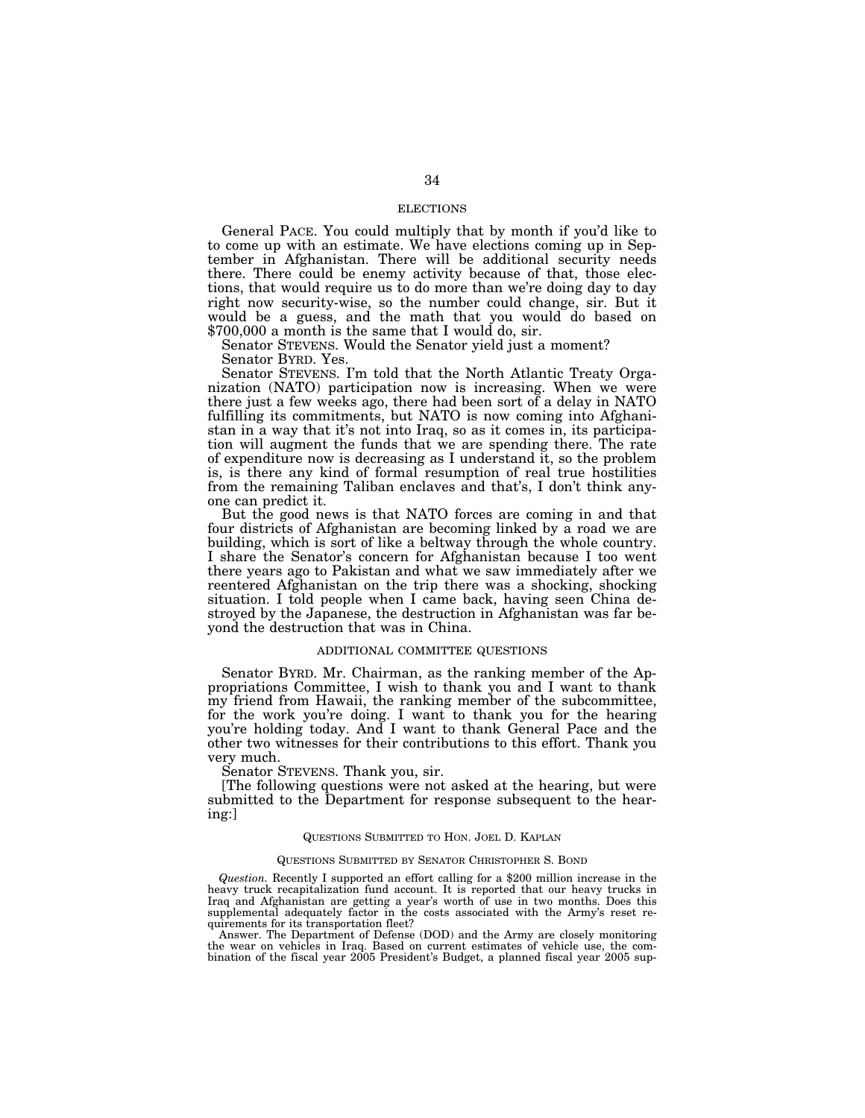#### ELECTIONS

General PACE. You could multiply that by month if you'd like to to come up with an estimate. We have elections coming up in September in Afghanistan. There will be additional security needs there. There could be enemy activity because of that, those elections, that would require us to do more than we're doing day to day right now security-wise, so the number could change, sir. But it would be a guess, and the math that you would do based on \$700,000 a month is the same that I would do, sir.

Senator STEVENS. Would the Senator yield just a moment? Senator BYRD. Yes.

Senator STEVENS. I'm told that the North Atlantic Treaty Organization (NATO) participation now is increasing. When we were there just a few weeks ago, there had been sort of a delay in NATO fulfilling its commitments, but NATO is now coming into Afghanistan in a way that it's not into Iraq, so as it comes in, its participation will augment the funds that we are spending there. The rate of expenditure now is decreasing as I understand it, so the problem is, is there any kind of formal resumption of real true hostilities from the remaining Taliban enclaves and that's, I don't think anyone can predict it.

But the good news is that NATO forces are coming in and that four districts of Afghanistan are becoming linked by a road we are building, which is sort of like a beltway through the whole country. I share the Senator's concern for Afghanistan because I too went there years ago to Pakistan and what we saw immediately after we reentered Afghanistan on the trip there was a shocking, shocking situation. I told people when I came back, having seen China destroyed by the Japanese, the destruction in Afghanistan was far beyond the destruction that was in China.

#### ADDITIONAL COMMITTEE QUESTIONS

Senator BYRD. Mr. Chairman, as the ranking member of the Appropriations Committee, I wish to thank you and I want to thank my friend from Hawaii, the ranking member of the subcommittee, for the work you're doing. I want to thank you for the hearing you're holding today. And I want to thank General Pace and the other two witnesses for their contributions to this effort. Thank you very much.

Senator STEVENS. Thank you, sir.

[The following questions were not asked at the hearing, but were submitted to the Department for response subsequent to the hearing:]

#### QUESTIONS SUBMITTED TO HON. JOEL D. KAPLAN

#### QUESTIONS SUBMITTED BY SENATOR CHRISTOPHER S. BOND

*Question.* Recently I supported an effort calling for a \$200 million increase in the heavy truck recapitalization fund account. It is reported that our heavy trucks in Iraq and Afghanistan are getting a year's worth of use in two months. Does this supplemental adequately factor in the costs associated with the Army's reset requirements for its transportation fleet?

Answer. The Department of Defense (DOD) and the Army are closely monitoring the wear on vehicles in Iraq. Based on current estimates of vehicle use, the combination of the fiscal year 2005 President's Budget, a planned fiscal year 2005 sup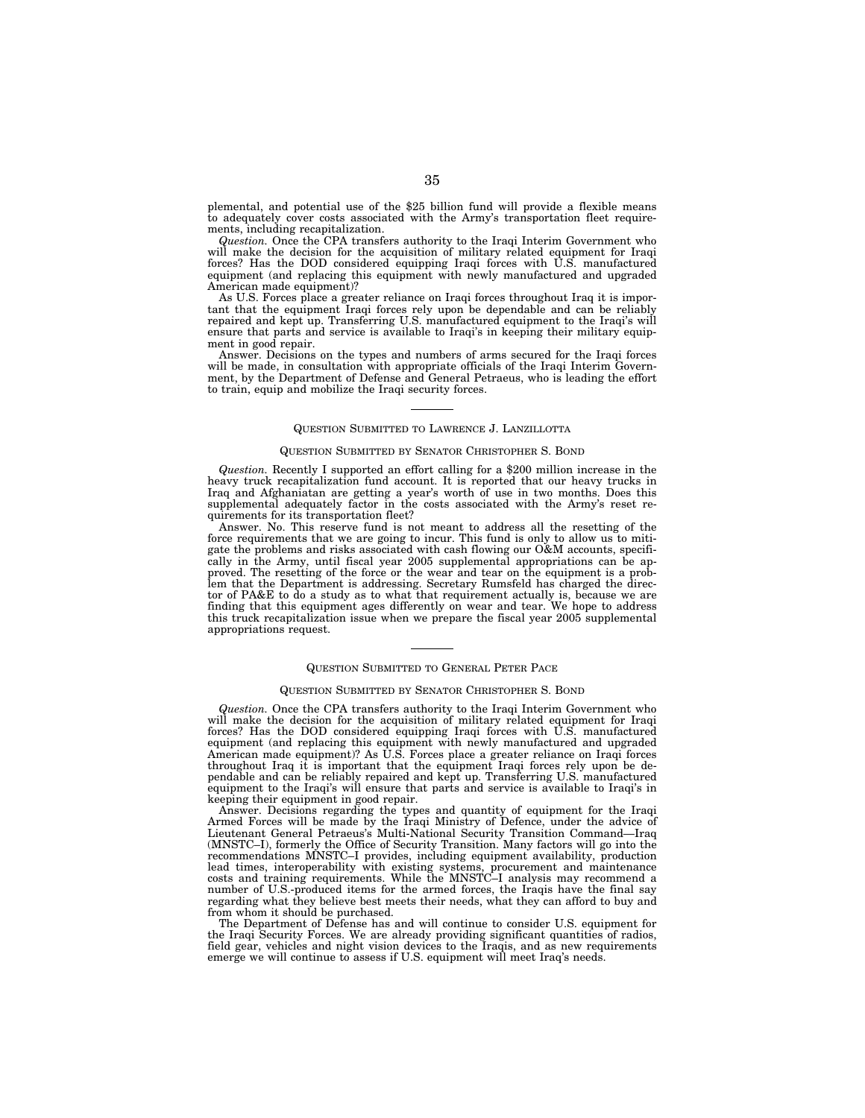plemental, and potential use of the \$25 billion fund will provide a flexible means to adequately cover costs associated with the Army's transportation fleet requirements, including recapitalization.

*Question.* Once the CPA transfers authority to the Iraqi Interim Government who will make the decision for the acquisition of military related equipment for Iraqi forces? Has the DOD considered equipping Iraqi forces with U.S. manufactured equipment (and replacing this equipment with newly manufactured and upgraded American made equipment)?

As U.S. Forces place a greater reliance on Iraqi forces throughout Iraq it is important that the equipment Iraqi forces rely upon be dependable and can be reliably repaired and kept up. Transferring U.S. manufactured equipment to the Iraqi's will ensure that parts and service is available to Iraqi's in keeping their military equipment in good repair.

Answer. Decisions on the types and numbers of arms secured for the Iraqi forces will be made, in consultation with appropriate officials of the Iraqi Interim Government, by the Department of Defense and General Petraeus, who is leading the effort to train, equip and mobilize the Iraqi security forces.

#### QUESTION SUBMITTED TO LAWRENCE J. LANZILLOTTA

#### QUESTION SUBMITTED BY SENATOR CHRISTOPHER S. BOND

*Question.* Recently I supported an effort calling for a \$200 million increase in the heavy truck recapitalization fund account. It is reported that our heavy trucks in Iraq and Afghaniatan are getting a year's worth of use in two months. Does this supplemental adequately factor in the costs associated with the Army's reset requirements for its transportation fleet?

Answer. No. This reserve fund is not meant to address all the resetting of the force requirements that we are going to incur. This fund is only to allow us to mitigate the problems and risks associated with cash flowing our O&M accounts, specifically in the Army, until fiscal year 2005 supplemental appropriations can be approved. The resetting of the force or the wear and tear on the equipment is a problem that the Department is addressing. Secretary Rumsfeld has charged the director of PA&E to do a study as to what that requirement actually is, because we are finding that this equipment ages differently on wear and tear. We hope to address this truck recapitalization issue when we prepare the fiscal year 2005 supplemental appropriations request.

#### QUESTION SUBMITTED TO GENERAL PETER PACE

#### QUESTION SUBMITTED BY SENATOR CHRISTOPHER S. BOND

*Question.* Once the CPA transfers authority to the Iraqi Interim Government who will make the decision for the acquisition of military related equipment for Iraqi forces? Has the DOD considered equipping Iraqi forces with U.S. manufactured equipment (and replacing this equipment with newly manufactured and upgraded American made equipment)? As U.S. Forces place a greater reliance on Iraqi forces throughout Iraq it is important that the equipment Iraqi forces rely upon be dependable and can be reliably repaired and kept up. Transferring U.S. manufactured equipment to the Iraqi's will ensure that parts and service is available to Iraqi's in keeping their equipment in good repair.

Answer. Decisions regarding the types and quantity of equipment for the Iraqi Armed Forces will be made by the Iraqi Ministry of Defence, under the advice of Lieutenant General Petraeus's Multi-National Security Transition Command—Iraq (MNSTC–I), formerly the Office of Security Transition. Many factors will go into the recommendations MNSTC–I provides, including equipment availability, production lead times, interoperability with existing systems, procurement and maintenance costs and training requirements. While the MNSTC–I analysis may recommend a number of U.S.-produced items for the armed forces, the Iraqis have the final say regarding what they believe best meets their needs, what they can afford to buy and from whom it should be purchased.

The Department of Defense has and will continue to consider U.S. equipment for the Iraqi Security Forces. We are already providing significant quantities of radios, field gear, vehicles and night vision devices to the Iraqis, and as new requirements emerge we will continue to assess if U.S. equipment will meet Iraq's needs.